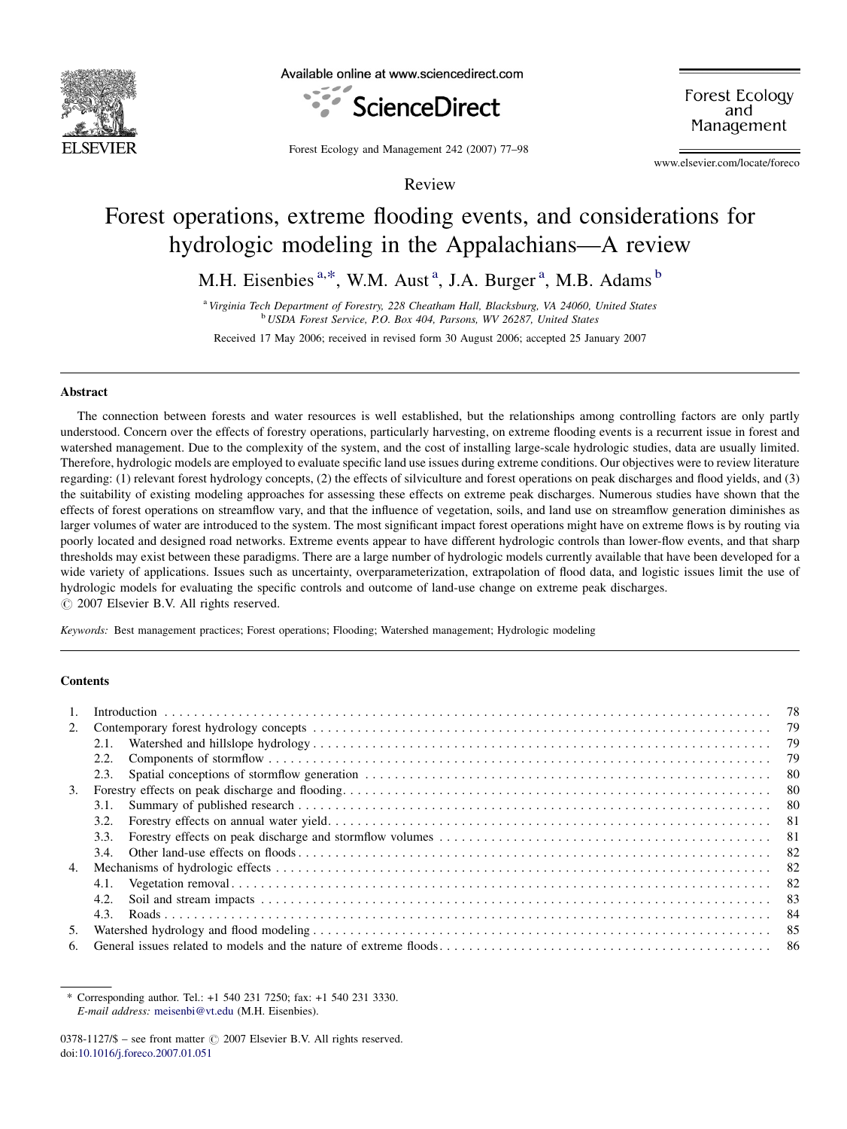

Available online at www.sciencedirect.com



Forest Ecology and Management

Forest Ecology and Management 242 (2007) 77–98

Review

www.elsevier.com/locate/foreco

# Forest operations, extreme flooding events, and considerations for hydrologic modeling in the Appalachians—A review

M.H. Eisenbies <sup>a,\*</sup>, W.M. Aust<sup>a</sup>, J.A. Burger<sup>a</sup>, M.B. Adams<sup>b</sup>

<sup>a</sup> Virginia Tech Department of Forestry, 228 Cheatham Hall, Blacksburg, VA 24060, United States <sup>b</sup> USDA Forest Service, P.O. Box 404, Parsons, WV 26287, United States

Received 17 May 2006; received in revised form 30 August 2006; accepted 25 January 2007

# Abstract

The connection between forests and water resources is well established, but the relationships among controlling factors are only partly understood. Concern over the effects of forestry operations, particularly harvesting, on extreme flooding events is a recurrent issue in forest and watershed management. Due to the complexity of the system, and the cost of installing large-scale hydrologic studies, data are usually limited. Therefore, hydrologic models are employed to evaluate specific land use issues during extreme conditions. Our objectives were to review literature regarding: (1) relevant forest hydrology concepts, (2) the effects of silviculture and forest operations on peak discharges and flood yields, and (3) the suitability of existing modeling approaches for assessing these effects on extreme peak discharges. Numerous studies have shown that the effects of forest operations on streamflow vary, and that the influence of vegetation, soils, and land use on streamflow generation diminishes as larger volumes of water are introduced to the system. The most significant impact forest operations might have on extreme flows is by routing via poorly located and designed road networks. Extreme events appear to have different hydrologic controls than lower-flow events, and that sharp thresholds may exist between these paradigms. There are a large number of hydrologic models currently available that have been developed for a wide variety of applications. Issues such as uncertainty, overparameterization, extrapolation of flood data, and logistic issues limit the use of hydrologic models for evaluating the specific controls and outcome of land-use change on extreme peak discharges.  $\odot$  2007 Elsevier B.V. All rights reserved.

Keywords: Best management practices; Forest operations; Flooding; Watershed management; Hydrologic modeling

# **Contents**

| 2. |      |      |  |  |
|----|------|------|--|--|
|    | 2.1. | -79  |  |  |
|    | 2.2. |      |  |  |
|    | 2.3. |      |  |  |
| 3. |      | - 80 |  |  |
|    | 3.1. |      |  |  |
|    | 3.2. |      |  |  |
|    | 3.3. | - 81 |  |  |
|    | 3.4  |      |  |  |
| 4. |      |      |  |  |
|    |      | - 82 |  |  |
|    | 4.2. |      |  |  |
|    |      |      |  |  |
| 5. |      | - 85 |  |  |
| 6. |      |      |  |  |

Corresponding author. Tel.: +1 540 231 7250; fax: +1 540 231 3330. E-mail address: [meisenbi@vt.edu](mailto:meisenbi@vt.edu) (M.H. Eisenbies).

 $0378-1127/\$$  – see front matter  $\odot$  2007 Elsevier B.V. All rights reserved. doi:[10.1016/j.foreco.2007.01.051](http://dx.doi.org/10.1016/j.foreco.2007.01.051)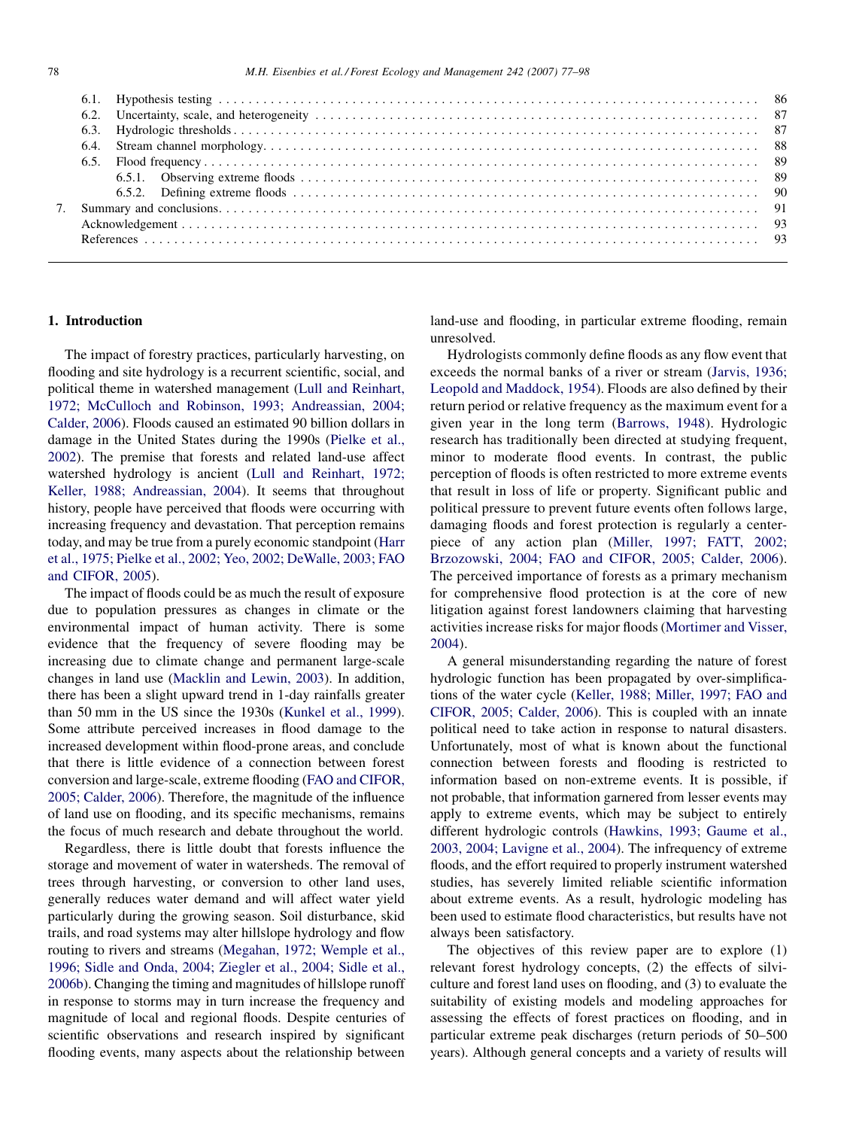## 1. Introduction

The impact of forestry practices, particularly harvesting, on flooding and site hydrology is a recurrent scientific, social, and political theme in watershed management [\(Lull and Reinhart,](#page-18-0) [1972; McCulloch and Robinson, 1993; Andreassian, 2004;](#page-18-0) [Calder, 2006](#page-18-0)). Floods caused an estimated 90 billion dollars in damage in the United States during the 1990s [\(Pielke et al.,](#page-19-0) [2002\)](#page-19-0). The premise that forests and related land-use affect watershed hydrology is ancient ([Lull and Reinhart, 1972;](#page-18-0) [Keller, 1988; Andreassian, 2004\)](#page-18-0). It seems that throughout history, people have perceived that floods were occurring with increasing frequency and devastation. That perception remains today, and may be true from a purely economic standpoint [\(Harr](#page-17-0) [et al., 1975; Pielke et al., 2002; Yeo, 2002; DeWalle, 2003; FAO](#page-17-0) [and CIFOR, 2005\)](#page-17-0).

The impact of floods could be as much the result of exposure due to population pressures as changes in climate or the environmental impact of human activity. There is some evidence that the frequency of severe flooding may be increasing due to climate change and permanent large-scale changes in land use ([Macklin and Lewin, 2003](#page-18-0)). In addition, there has been a slight upward trend in 1-day rainfalls greater than 50 mm in the US since the 1930s ([Kunkel et al., 1999\)](#page-18-0). Some attribute perceived increases in flood damage to the increased development within flood-prone areas, and conclude that there is little evidence of a connection between forest conversion and large-scale, extreme flooding ([FAO and CIFOR,](#page-17-0) [2005; Calder, 2006](#page-17-0)). Therefore, the magnitude of the influence of land use on flooding, and its specific mechanisms, remains the focus of much research and debate throughout the world.

Regardless, there is little doubt that forests influence the storage and movement of water in watersheds. The removal of trees through harvesting, or conversion to other land uses, generally reduces water demand and will affect water yield particularly during the growing season. Soil disturbance, skid trails, and road systems may alter hillslope hydrology and flow routing to rivers and streams ([Megahan, 1972; Wemple et al.,](#page-19-0) [1996; Sidle and Onda, 2004; Ziegler et al., 2004; Sidle et al.,](#page-19-0) [2006b\)](#page-19-0). Changing the timing and magnitudes of hillslope runoff in response to storms may in turn increase the frequency and magnitude of local and regional floods. Despite centuries of scientific observations and research inspired by significant flooding events, many aspects about the relationship between land-use and flooding, in particular extreme flooding, remain unresolved.

Hydrologists commonly define floods as any flow event that exceeds the normal banks of a river or stream ([Jarvis, 1936;](#page-18-0) [Leopold and Maddock, 1954](#page-18-0)). Floods are also defined by their return period or relative frequency as the maximum event for a given year in the long term ([Barrows, 1948](#page-16-0)). Hydrologic research has traditionally been directed at studying frequent, minor to moderate flood events. In contrast, the public perception of floods is often restricted to more extreme events that result in loss of life or property. Significant public and political pressure to prevent future events often follows large, damaging floods and forest protection is regularly a centerpiece of any action plan [\(Miller, 1997; FATT, 2002;](#page-19-0) [Brzozowski, 2004; FAO and CIFOR, 2005; Calder, 2006\)](#page-19-0). The perceived importance of forests as a primary mechanism for comprehensive flood protection is at the core of new litigation against forest landowners claiming that harvesting activities increase risks for major floods [\(Mortimer and Visser,](#page-19-0) [2004](#page-19-0)).

A general misunderstanding regarding the nature of forest hydrologic function has been propagated by over-simplifications of the water cycle [\(Keller, 1988; Miller, 1997; FAO and](#page-18-0) [CIFOR, 2005; Calder, 2006](#page-18-0)). This is coupled with an innate political need to take action in response to natural disasters. Unfortunately, most of what is known about the functional connection between forests and flooding is restricted to information based on non-extreme events. It is possible, if not probable, that information garnered from lesser events may apply to extreme events, which may be subject to entirely different hydrologic controls [\(Hawkins, 1993; Gaume et al.,](#page-17-0) [2003, 2004; Lavigne et al., 2004](#page-17-0)). The infrequency of extreme floods, and the effort required to properly instrument watershed studies, has severely limited reliable scientific information about extreme events. As a result, hydrologic modeling has been used to estimate flood characteristics, but results have not always been satisfactory.

The objectives of this review paper are to explore (1) relevant forest hydrology concepts, (2) the effects of silviculture and forest land uses on flooding, and (3) to evaluate the suitability of existing models and modeling approaches for assessing the effects of forest practices on flooding, and in particular extreme peak discharges (return periods of 50–500 years). Although general concepts and a variety of results will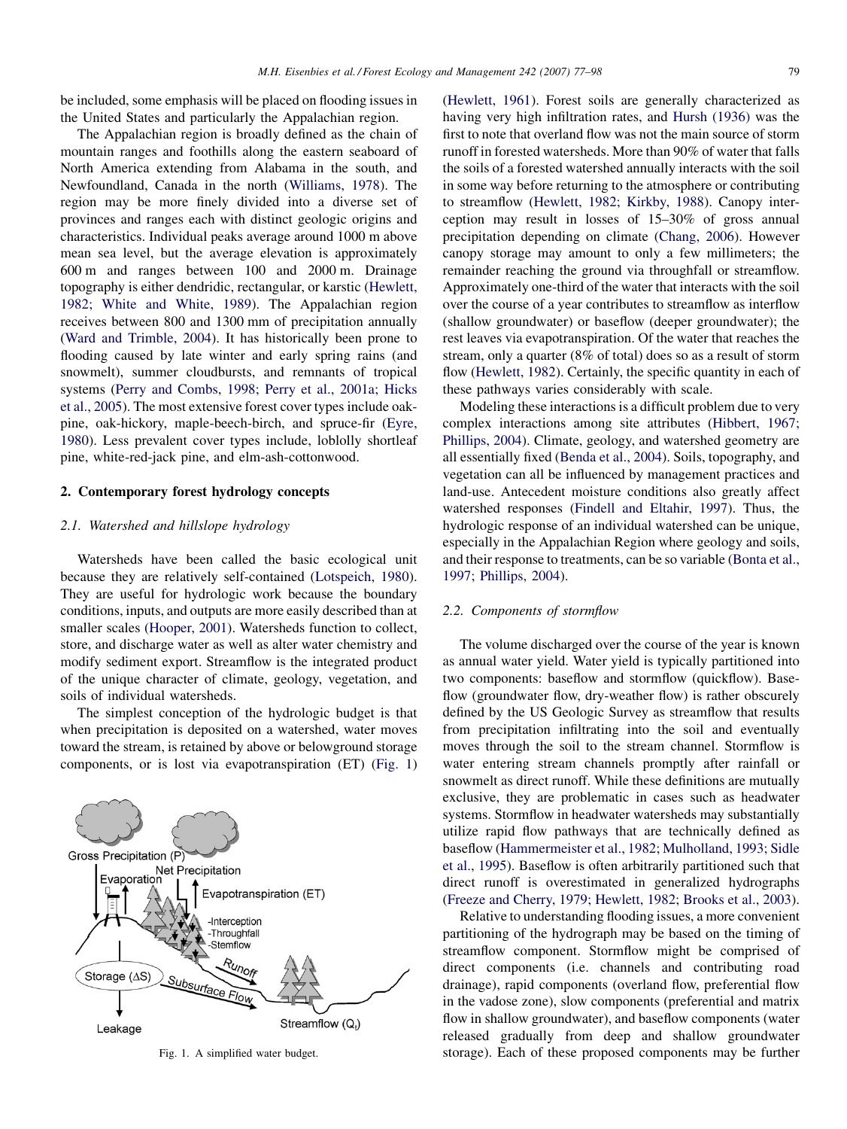<span id="page-2-0"></span>be included, some emphasis will be placed on flooding issues in the United States and particularly the Appalachian region.

The Appalachian region is broadly defined as the chain of mountain ranges and foothills along the eastern seaboard of North America extending from Alabama in the south, and Newfoundland, Canada in the north [\(Williams, 1978](#page-21-0)). The region may be more finely divided into a diverse set of provinces and ranges each with distinct geologic origins and characteristics. Individual peaks average around 1000 m above mean sea level, but the average elevation is approximately 600 m and ranges between 100 and 2000 m. Drainage topography is either dendridic, rectangular, or karstic ([Hewlett,](#page-17-0) [1982; White and White, 1989\)](#page-17-0). The Appalachian region receives between 800 and 1300 mm of precipitation annually ([Ward and Trimble, 2004\)](#page-20-0). It has historically been prone to flooding caused by late winter and early spring rains (and snowmelt), summer cloudbursts, and remnants of tropical systems [\(Perry and Combs, 1998; Perry et al., 2001a; Hicks](#page-19-0) [et al., 2005](#page-19-0)). The most extensive forest cover types include oakpine, oak-hickory, maple-beech-birch, and spruce-fir [\(Eyre,](#page-17-0) [1980](#page-17-0)). Less prevalent cover types include, loblolly shortleaf pine, white-red-jack pine, and elm-ash-cottonwood.

#### 2. Contemporary forest hydrology concepts

# 2.1. Watershed and hillslope hydrology

Watersheds have been called the basic ecological unit because they are relatively self-contained ([Lotspeich, 1980\)](#page-18-0). They are useful for hydrologic work because the boundary conditions, inputs, and outputs are more easily described than at smaller scales ([Hooper, 2001\)](#page-18-0). Watersheds function to collect, store, and discharge water as well as alter water chemistry and modify sediment export. Streamflow is the integrated product of the unique character of climate, geology, vegetation, and soils of individual watersheds.

The simplest conception of the hydrologic budget is that when precipitation is deposited on a watershed, water moves toward the stream, is retained by above or belowground storage components, or is lost via evapotranspiration (ET) (Fig. 1)



([Hewlett, 1961\)](#page-17-0). Forest soils are generally characterized as having very high infiltration rates, and [Hursh \(1936\)](#page-18-0) was the first to note that overland flow was not the main source of storm runoff in forested watersheds. More than 90% of water that falls the soils of a forested watershed annually interacts with the soil in some way before returning to the atmosphere or contributing to streamflow [\(Hewlett, 1982; Kirkby, 1988](#page-17-0)). Canopy interception may result in losses of 15–30% of gross annual precipitation depending on climate ([Chang, 2006](#page-16-0)). However canopy storage may amount to only a few millimeters; the remainder reaching the ground via throughfall or streamflow. Approximately one-third of the water that interacts with the soil over the course of a year contributes to streamflow as interflow (shallow groundwater) or baseflow (deeper groundwater); the rest leaves via evapotranspiration. Of the water that reaches the stream, only a quarter (8% of total) does so as a result of storm flow ([Hewlett, 1982\)](#page-17-0). Certainly, the specific quantity in each of these pathways varies considerably with scale.

Modeling these interactions is a difficult problem due to very complex interactions among site attributes [\(Hibbert, 1967;](#page-18-0) [Phillips, 2004](#page-18-0)). Climate, geology, and watershed geometry are all essentially fixed ([Benda et al., 2004\)](#page-16-0). Soils, topography, and vegetation can all be influenced by management practices and land-use. Antecedent moisture conditions also greatly affect watershed responses [\(Findell and Eltahir, 1997\)](#page-17-0). Thus, the hydrologic response of an individual watershed can be unique, especially in the Appalachian Region where geology and soils, and their response to treatments, can be so variable [\(Bonta et al.,](#page-16-0) [1997; Phillips, 2004\)](#page-16-0).

### 2.2. Components of stormflow

The volume discharged over the course of the year is known as annual water yield. Water yield is typically partitioned into two components: baseflow and stormflow (quickflow). Baseflow (groundwater flow, dry-weather flow) is rather obscurely defined by the US Geologic Survey as streamflow that results from precipitation infiltrating into the soil and eventually moves through the soil to the stream channel. Stormflow is water entering stream channels promptly after rainfall or snowmelt as direct runoff. While these definitions are mutually exclusive, they are problematic in cases such as headwater systems. Stormflow in headwater watersheds may substantially utilize rapid flow pathways that are technically defined as baseflow ([Hammermeister et al., 1982; Mulholland, 1993; Sidle](#page-17-0) [et al., 1995](#page-17-0)). Baseflow is often arbitrarily partitioned such that direct runoff is overestimated in generalized hydrographs ([Freeze and Cherry, 1979; Hewlett, 1982; Brooks et al., 2003\)](#page-17-0).

Relative to understanding flooding issues, a more convenient partitioning of the hydrograph may be based on the timing of streamflow component. Stormflow might be comprised of direct components (i.e. channels and contributing road drainage), rapid components (overland flow, preferential flow in the vadose zone), slow components (preferential and matrix flow in shallow groundwater), and baseflow components (water released gradually from deep and shallow groundwater Fig. 1. A simplified water budget. storage). Each of these proposed components may be further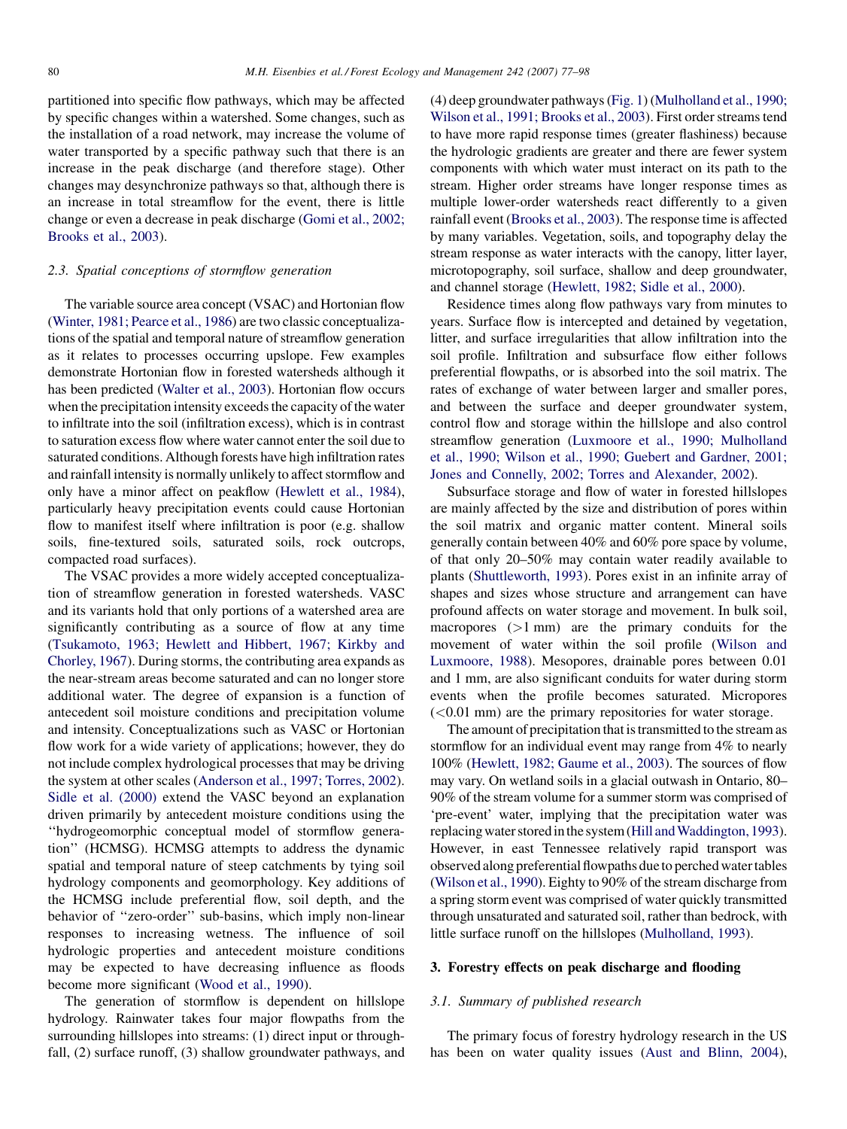partitioned into specific flow pathways, which may be affected by specific changes within a watershed. Some changes, such as the installation of a road network, may increase the volume of water transported by a specific pathway such that there is an increase in the peak discharge (and therefore stage). Other changes may desynchronize pathways so that, although there is an increase in total streamflow for the event, there is little change or even a decrease in peak discharge [\(Gomi et al., 2002;](#page-17-0) [Brooks et al., 2003\)](#page-17-0).

## 2.3. Spatial conceptions of stormflow generation

The variable source area concept (VSAC) and Hortonian flow ([Winter, 1981; Pearce et al., 1986](#page-21-0)) are two classic conceptualizations of the spatial and temporal nature of streamflow generation as it relates to processes occurring upslope. Few examples demonstrate Hortonian flow in forested watersheds although it has been predicted [\(Walter et al., 2003\)](#page-20-0). Hortonian flow occurs when the precipitation intensity exceeds the capacity of the water to infiltrate into the soil (infiltration excess), which is in contrast to saturation excess flow where water cannot enter the soil due to saturated conditions. Although forests have high infiltration rates and rainfall intensity is normally unlikely to affect stormflow and only have a minor affect on peakflow [\(Hewlett et al., 1984\)](#page-17-0), particularly heavy precipitation events could cause Hortonian flow to manifest itself where infiltration is poor (e.g. shallow soils, fine-textured soils, saturated soils, rock outcrops, compacted road surfaces).

The VSAC provides a more widely accepted conceptualization of streamflow generation in forested watersheds. VASC and its variants hold that only portions of a watershed area are significantly contributing as a source of flow at any time ([Tsukamoto, 1963; Hewlett and Hibbert, 1967; Kirkby and](#page-20-0) [Chorley, 1967\)](#page-20-0). During storms, the contributing area expands as the near-stream areas become saturated and can no longer store additional water. The degree of expansion is a function of antecedent soil moisture conditions and precipitation volume and intensity. Conceptualizations such as VASC or Hortonian flow work for a wide variety of applications; however, they do not include complex hydrological processes that may be driving the system at other scales [\(Anderson et al., 1997; Torres, 2002\)](#page-16-0). [Sidle et al. \(2000\)](#page-20-0) extend the VASC beyond an explanation driven primarily by antecedent moisture conditions using the ''hydrogeomorphic conceptual model of stormflow generation'' (HCMSG). HCMSG attempts to address the dynamic spatial and temporal nature of steep catchments by tying soil hydrology components and geomorphology. Key additions of the HCMSG include preferential flow, soil depth, and the behavior of ''zero-order'' sub-basins, which imply non-linear responses to increasing wetness. The influence of soil hydrologic properties and antecedent moisture conditions may be expected to have decreasing influence as floods become more significant [\(Wood et al., 1990\)](#page-21-0).

The generation of stormflow is dependent on hillslope hydrology. Rainwater takes four major flowpaths from the surrounding hillslopes into streams: (1) direct input or throughfall, (2) surface runoff, (3) shallow groundwater pathways, and (4) deep groundwater pathways [\(Fig. 1](#page-2-0)) ([Mulholland et al., 1990;](#page-19-0) [Wilson et al., 1991; Brooks et al., 2003\)](#page-19-0). First order streams tend to have more rapid response times (greater flashiness) because the hydrologic gradients are greater and there are fewer system components with which water must interact on its path to the stream. Higher order streams have longer response times as multiple lower-order watersheds react differently to a given rainfall event [\(Brooks et al., 2003\)](#page-16-0). The response time is affected by many variables. Vegetation, soils, and topography delay the stream response as water interacts with the canopy, litter layer, microtopography, soil surface, shallow and deep groundwater, and channel storage [\(Hewlett, 1982; Sidle et al., 2000\)](#page-17-0).

Residence times along flow pathways vary from minutes to years. Surface flow is intercepted and detained by vegetation, litter, and surface irregularities that allow infiltration into the soil profile. Infiltration and subsurface flow either follows preferential flowpaths, or is absorbed into the soil matrix. The rates of exchange of water between larger and smaller pores, and between the surface and deeper groundwater system, control flow and storage within the hillslope and also control streamflow generation ([Luxmoore et al., 1990; Mulholland](#page-18-0) [et al., 1990; Wilson et al., 1990; Guebert and Gardner, 2001;](#page-18-0) [Jones and Connelly, 2002; Torres and Alexander, 2002](#page-18-0)).

Subsurface storage and flow of water in forested hillslopes are mainly affected by the size and distribution of pores within the soil matrix and organic matter content. Mineral soils generally contain between 40% and 60% pore space by volume, of that only 20–50% may contain water readily available to plants [\(Shuttleworth, 1993](#page-20-0)). Pores exist in an infinite array of shapes and sizes whose structure and arrangement can have profound affects on water storage and movement. In bulk soil, macropores  $(1)$  mm) are the primary conduits for the movement of water within the soil profile ([Wilson and](#page-21-0) [Luxmoore, 1988\)](#page-21-0). Mesopores, drainable pores between 0.01 and 1 mm, are also significant conduits for water during storm events when the profile becomes saturated. Micropores  $(<0.01$  mm) are the primary repositories for water storage.

The amount of precipitation that is transmitted to the stream as stormflow for an individual event may range from 4% to nearly 100% ([Hewlett, 1982; Gaume et al., 2003\)](#page-17-0). The sources of flow may vary. On wetland soils in a glacial outwash in Ontario, 80– 90% of the stream volume for a summer storm was comprised of 'pre-event' water, implying that the precipitation water was replacing water stored in the system (Hill and Waddington, 1993). However, in east Tennessee relatively rapid transport was observed along preferential flowpaths dueto perched watertables ([Wilson et al., 1990](#page-21-0)). Eighty to 90% of the stream discharge from a spring storm event was comprised of water quickly transmitted through unsaturated and saturated soil, rather than bedrock, with little surface runoff on the hillslopes [\(Mulholland, 1993](#page-19-0)).

## 3. Forestry effects on peak discharge and flooding

## 3.1. Summary of published research

The primary focus of forestry hydrology research in the US has been on water quality issues [\(Aust and Blinn, 2004\)](#page-16-0),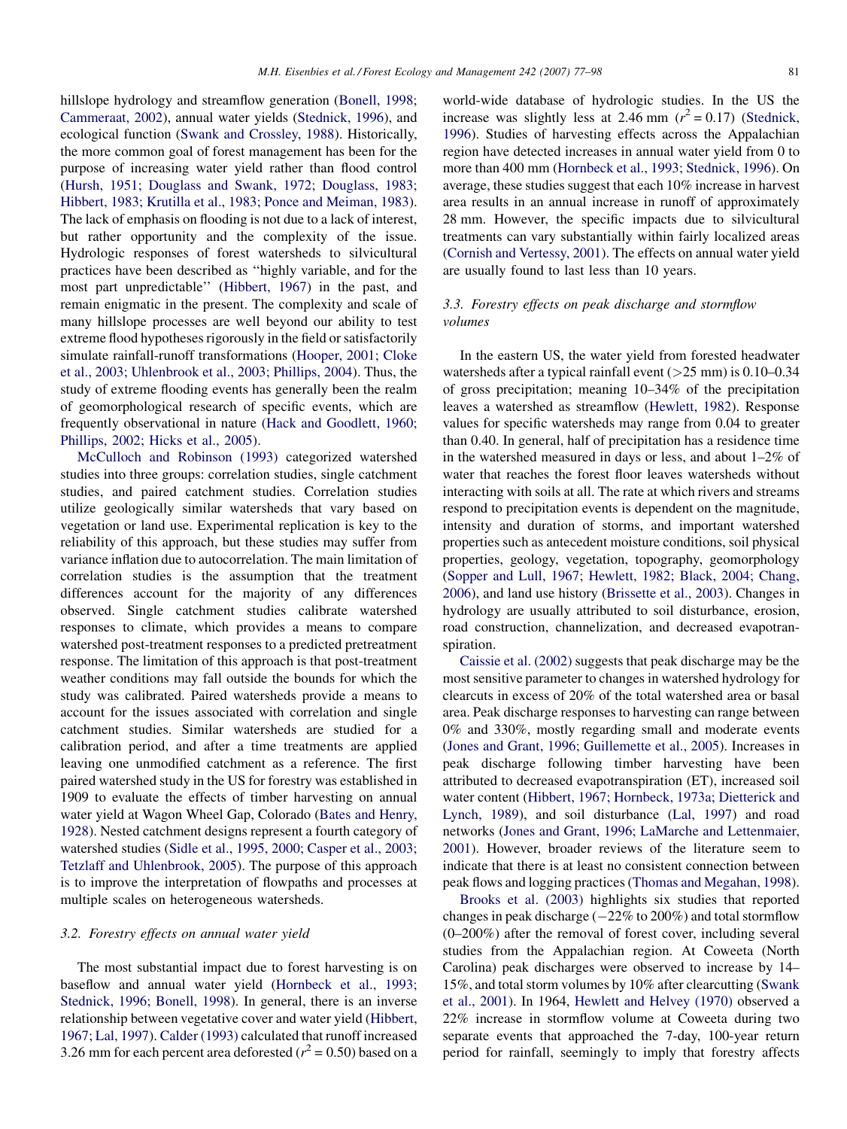hillslope hydrology and streamflow generation [\(Bonell, 1998;](#page-16-0) [Cammeraat, 2002](#page-16-0)), annual water yields [\(Stednick, 1996](#page-20-0)), and ecological function [\(Swank and Crossley, 1988](#page-20-0)). Historically, the more common goal of forest management has been for the purpose of increasing water yield rather than flood control ([Hursh, 1951; Douglass and Swank, 1972; Douglass, 1983;](#page-18-0) [Hibbert, 1983; Krutilla et al., 1983; Ponce and Meiman, 1983\)](#page-18-0). The lack of emphasis on flooding is not due to a lack of interest, but rather opportunity and the complexity of the issue. Hydrologic responses of forest watersheds to silvicultural practices have been described as ''highly variable, and for the most part unpredictable'' [\(Hibbert, 1967\)](#page-18-0) in the past, and remain enigmatic in the present. The complexity and scale of many hillslope processes are well beyond our ability to test extreme flood hypotheses rigorously in the field or satisfactorily simulate rainfall-runoff transformations ([Hooper, 2001; Cloke](#page-18-0) [et al., 2003; Uhlenbrook et al., 2003; Phillips, 2004](#page-18-0)). Thus, the study of extreme flooding events has generally been the realm of geomorphological research of specific events, which are frequently observational in nature [\(Hack and Goodlett, 1960;](#page-17-0) [Phillips, 2002; Hicks et al., 2005\)](#page-17-0).

[McCulloch and Robinson \(1993\)](#page-19-0) categorized watershed studies into three groups: correlation studies, single catchment studies, and paired catchment studies. Correlation studies utilize geologically similar watersheds that vary based on vegetation or land use. Experimental replication is key to the reliability of this approach, but these studies may suffer from variance inflation due to autocorrelation. The main limitation of correlation studies is the assumption that the treatment differences account for the majority of any differences observed. Single catchment studies calibrate watershed responses to climate, which provides a means to compare watershed post-treatment responses to a predicted pretreatment response. The limitation of this approach is that post-treatment weather conditions may fall outside the bounds for which the study was calibrated. Paired watersheds provide a means to account for the issues associated with correlation and single catchment studies. Similar watersheds are studied for a calibration period, and after a time treatments are applied leaving one unmodified catchment as a reference. The first paired watershed study in the US for forestry was established in 1909 to evaluate the effects of timber harvesting on annual water yield at Wagon Wheel Gap, Colorado ([Bates and Henry,](#page-16-0) [1928](#page-16-0)). Nested catchment designs represent a fourth category of watershed studies ([Sidle et al., 1995, 2000; Casper et al., 2003;](#page-20-0) [Tetzlaff and Uhlenbrook, 2005\)](#page-20-0). The purpose of this approach is to improve the interpretation of flowpaths and processes at multiple scales on heterogeneous watersheds.

#### 3.2. Forestry effects on annual water yield

The most substantial impact due to forest harvesting is on baseflow and annual water yield [\(Hornbeck et al., 1993;](#page-18-0) [Stednick, 1996; Bonell, 1998](#page-18-0)). In general, there is an inverse relationship between vegetative cover and water yield ([Hibbert,](#page-18-0) [1967; Lal, 1997\)](#page-18-0). [Calder \(1993\)](#page-16-0) calculated that runoff increased 3.26 mm for each percent area deforested ( $r^2 = 0.50$ ) based on a

world-wide database of hydrologic studies. In the US the increase was slightly less at 2.46 mm  $(r^2 = 0.17)$  [\(Stednick,](#page-20-0) [1996](#page-20-0)). Studies of harvesting effects across the Appalachian region have detected increases in annual water yield from 0 to more than 400 mm [\(Hornbeck et al., 1993; Stednick, 1996](#page-18-0)). On average, these studies suggest that each 10% increase in harvest area results in an annual increase in runoff of approximately 28 mm. However, the specific impacts due to silvicultural treatments can vary substantially within fairly localized areas ([Cornish and Vertessy, 2001\)](#page-17-0). The effects on annual water yield are usually found to last less than 10 years.

# 3.3. Forestry effects on peak discharge and stormflow volumes

In the eastern US, the water yield from forested headwater watersheds after a typical rainfall event  $(>25 \text{ mm})$  is 0.10–0.34 of gross precipitation; meaning 10–34% of the precipitation leaves a watershed as streamflow ([Hewlett, 1982\)](#page-17-0). Response values for specific watersheds may range from 0.04 to greater than 0.40. In general, half of precipitation has a residence time in the watershed measured in days or less, and about 1–2% of water that reaches the forest floor leaves watersheds without interacting with soils at all. The rate at which rivers and streams respond to precipitation events is dependent on the magnitude, intensity and duration of storms, and important watershed properties such as antecedent moisture conditions, soil physical properties, geology, vegetation, topography, geomorphology ([Sopper and Lull, 1967; Hewlett, 1982; Black, 2004; Chang,](#page-20-0) [2006](#page-20-0)), and land use history ([Brissette et al., 2003](#page-16-0)). Changes in hydrology are usually attributed to soil disturbance, erosion, road construction, channelization, and decreased evapotranspiration.

[Caissie et al. \(2002\)](#page-16-0) suggests that peak discharge may be the most sensitive parameter to changes in watershed hydrology for clearcuts in excess of 20% of the total watershed area or basal area. Peak discharge responses to harvesting can range between 0% and 330%, mostly regarding small and moderate events ([Jones and Grant, 1996; Guillemette et al., 2005](#page-18-0)). Increases in peak discharge following timber harvesting have been attributed to decreased evapotranspiration (ET), increased soil water content [\(Hibbert, 1967; Hornbeck, 1973a; Dietterick and](#page-18-0) [Lynch, 1989\)](#page-18-0), and soil disturbance [\(Lal, 1997](#page-18-0)) and road networks [\(Jones and Grant, 1996; LaMarche and Lettenmaier,](#page-18-0) [2001](#page-18-0)). However, broader reviews of the literature seem to indicate that there is at least no consistent connection between peak flows and logging practices ([Thomas and Megahan, 1998\)](#page-20-0).

[Brooks et al. \(2003\)](#page-16-0) highlights six studies that reported changes in peak discharge  $(-22\%$  to 200%) and total stormflow (0–200%) after the removal of forest cover, including several studies from the Appalachian region. At Coweeta (North Carolina) peak discharges were observed to increase by 14– 15%, and total storm volumes by 10% after clearcutting [\(Swank](#page-20-0) [et al., 2001\)](#page-20-0). In 1964, [Hewlett and Helvey \(1970\)](#page-17-0) observed a 22% increase in stormflow volume at Coweeta during two separate events that approached the 7-day, 100-year return period for rainfall, seemingly to imply that forestry affects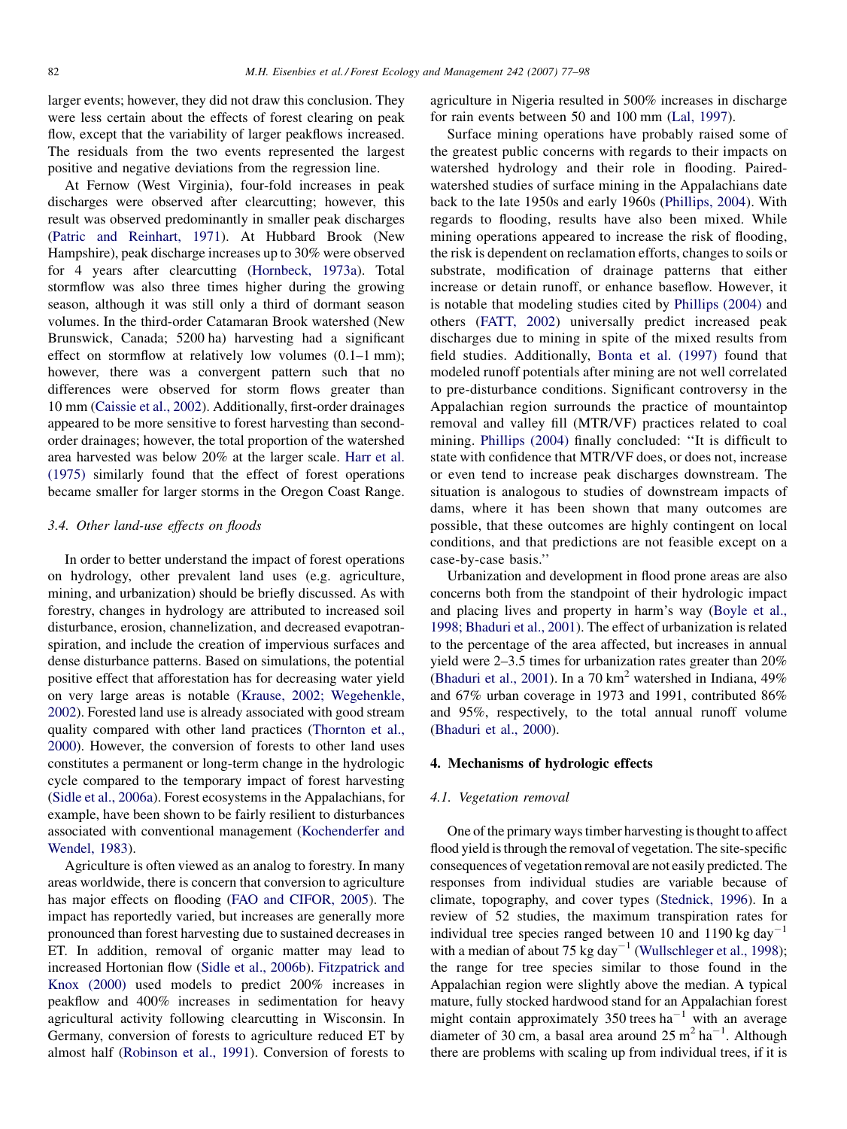larger events; however, they did not draw this conclusion. They were less certain about the effects of forest clearing on peak flow, except that the variability of larger peakflows increased. The residuals from the two events represented the largest positive and negative deviations from the regression line.

At Fernow (West Virginia), four-fold increases in peak discharges were observed after clearcutting; however, this result was observed predominantly in smaller peak discharges ([Patric and Reinhart, 1971\)](#page-19-0). At Hubbard Brook (New Hampshire), peak discharge increases up to 30% were observed for 4 years after clearcutting [\(Hornbeck, 1973a](#page-18-0)). Total stormflow was also three times higher during the growing season, although it was still only a third of dormant season volumes. In the third-order Catamaran Brook watershed (New Brunswick, Canada; 5200 ha) harvesting had a significant effect on stormflow at relatively low volumes (0.1–1 mm); however, there was a convergent pattern such that no differences were observed for storm flows greater than 10 mm [\(Caissie et al., 2002\)](#page-16-0). Additionally, first-order drainages appeared to be more sensitive to forest harvesting than secondorder drainages; however, the total proportion of the watershed area harvested was below 20% at the larger scale. [Harr et al.](#page-17-0) [\(1975\)](#page-17-0) similarly found that the effect of forest operations became smaller for larger storms in the Oregon Coast Range.

#### 3.4. Other land-use effects on floods

In order to better understand the impact of forest operations on hydrology, other prevalent land uses (e.g. agriculture, mining, and urbanization) should be briefly discussed. As with forestry, changes in hydrology are attributed to increased soil disturbance, erosion, channelization, and decreased evapotranspiration, and include the creation of impervious surfaces and dense disturbance patterns. Based on simulations, the potential positive effect that afforestation has for decreasing water yield on very large areas is notable ([Krause, 2002; Wegehenkle,](#page-18-0) [2002\)](#page-18-0). Forested land use is already associated with good stream quality compared with other land practices ([Thornton et al.,](#page-20-0) [2000\)](#page-20-0). However, the conversion of forests to other land uses constitutes a permanent or long-term change in the hydrologic cycle compared to the temporary impact of forest harvesting ([Sidle et al., 2006a\)](#page-20-0). Forest ecosystems in the Appalachians, for example, have been shown to be fairly resilient to disturbances associated with conventional management [\(Kochenderfer and](#page-18-0) [Wendel, 1983\)](#page-18-0).

Agriculture is often viewed as an analog to forestry. In many areas worldwide, there is concern that conversion to agriculture has major effects on flooding ([FAO and CIFOR, 2005](#page-17-0)). The impact has reportedly varied, but increases are generally more pronounced than forest harvesting due to sustained decreases in ET. In addition, removal of organic matter may lead to increased Hortonian flow ([Sidle et al., 2006b](#page-20-0)). [Fitzpatrick and](#page-17-0) [Knox \(2000\)](#page-17-0) used models to predict 200% increases in peakflow and 400% increases in sedimentation for heavy agricultural activity following clearcutting in Wisconsin. In Germany, conversion of forests to agriculture reduced ET by almost half ([Robinson et al., 1991\)](#page-19-0). Conversion of forests to agriculture in Nigeria resulted in 500% increases in discharge for rain events between 50 and 100 mm ([Lal, 1997\)](#page-18-0).

Surface mining operations have probably raised some of the greatest public concerns with regards to their impacts on watershed hydrology and their role in flooding. Pairedwatershed studies of surface mining in the Appalachians date back to the late 1950s and early 1960s ([Phillips, 2004\)](#page-19-0). With regards to flooding, results have also been mixed. While mining operations appeared to increase the risk of flooding, the risk is dependent on reclamation efforts, changes to soils or substrate, modification of drainage patterns that either increase or detain runoff, or enhance baseflow. However, it is notable that modeling studies cited by [Phillips \(2004\)](#page-19-0) and others ([FATT, 2002\)](#page-17-0) universally predict increased peak discharges due to mining in spite of the mixed results from field studies. Additionally, [Bonta et al. \(1997\)](#page-16-0) found that modeled runoff potentials after mining are not well correlated to pre-disturbance conditions. Significant controversy in the Appalachian region surrounds the practice of mountaintop removal and valley fill (MTR/VF) practices related to coal mining. [Phillips \(2004\)](#page-19-0) finally concluded: ''It is difficult to state with confidence that MTR/VF does, or does not, increase or even tend to increase peak discharges downstream. The situation is analogous to studies of downstream impacts of dams, where it has been shown that many outcomes are possible, that these outcomes are highly contingent on local conditions, and that predictions are not feasible except on a case-by-case basis.''

Urbanization and development in flood prone areas are also concerns both from the standpoint of their hydrologic impact and placing lives and property in harm's way ([Boyle et al.,](#page-16-0) [1998; Bhaduri et al., 2001](#page-16-0)). The effect of urbanization is related to the percentage of the area affected, but increases in annual yield were 2–3.5 times for urbanization rates greater than 20% ([Bhaduri et al., 2001\)](#page-16-0). In a 70 km<sup>2</sup> watershed in Indiana,  $49\%$ and 67% urban coverage in 1973 and 1991, contributed 86% and 95%, respectively, to the total annual runoff volume [\(Bhaduri et al., 2000\)](#page-16-0).

## 4. Mechanisms of hydrologic effects

#### 4.1. Vegetation removal

One of the primary ways timber harvesting is thought to affect flood yield is through the removal of vegetation. The site-specific consequences of vegetation removal are not easily predicted. The responses from individual studies are variable because of climate, topography, and cover types ([Stednick, 1996\)](#page-20-0). In a review of 52 studies, the maximum transpiration rates for individual tree species ranged between 10 and 1190 kg day<sup>-1</sup> with a median of about 75 kg day<sup> $-1$ </sup> ([Wullschleger et al., 1998\)](#page-21-0); the range for tree species similar to those found in the Appalachian region were slightly above the median. A typical mature, fully stocked hardwood stand for an Appalachian forest might contain approximately 350 trees ha<sup>-1</sup> with an average diameter of 30 cm, a basal area around  $25 \text{ m}^2 \text{ ha}^{-1}$ . Although there are problems with scaling up from individual trees, if it is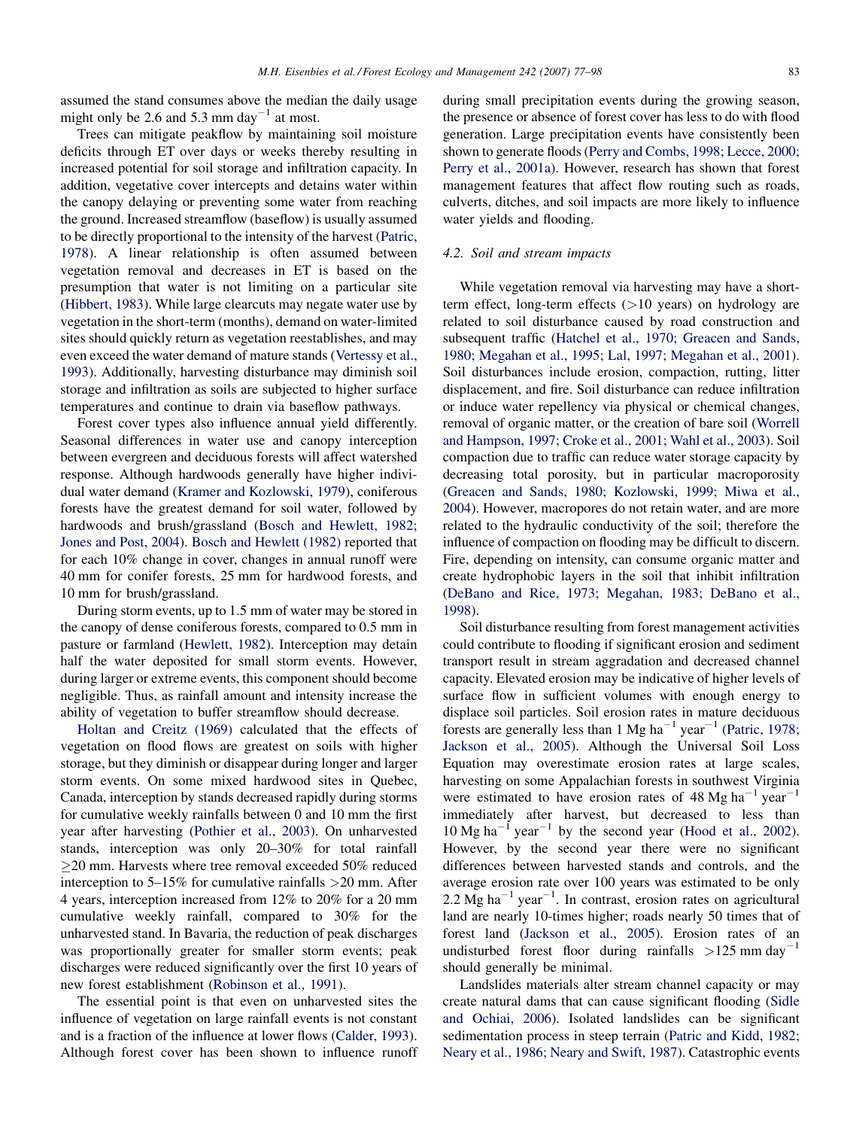assumed the stand consumes above the median the daily usage might only be 2.6 and 5.3 mm day<sup>-1</sup> at most.

Trees can mitigate peakflow by maintaining soil moisture deficits through ET over days or weeks thereby resulting in increased potential for soil storage and infiltration capacity. In addition, vegetative cover intercepts and detains water within the canopy delaying or preventing some water from reaching the ground. Increased streamflow (baseflow) is usually assumed to be directly proportional to the intensity of the harvest ([Patric,](#page-19-0) [1978](#page-19-0)). A linear relationship is often assumed between vegetation removal and decreases in ET is based on the presumption that water is not limiting on a particular site ([Hibbert, 1983](#page-18-0)). While large clearcuts may negate water use by vegetation in the short-term (months), demand on water-limited sites should quickly return as vegetation reestablishes, and may even exceed the water demand of mature stands ([Vertessy et al.,](#page-20-0) [1993](#page-20-0)). Additionally, harvesting disturbance may diminish soil storage and infiltration as soils are subjected to higher surface temperatures and continue to drain via baseflow pathways.

Forest cover types also influence annual yield differently. Seasonal differences in water use and canopy interception between evergreen and deciduous forests will affect watershed response. Although hardwoods generally have higher individual water demand ([Kramer and Kozlowski, 1979\)](#page-18-0), coniferous forests have the greatest demand for soil water, followed by hardwoods and brush/grassland [\(Bosch and Hewlett, 1982;](#page-16-0) [Jones and Post, 2004](#page-16-0)). [Bosch and Hewlett \(1982\)](#page-16-0) reported that for each 10% change in cover, changes in annual runoff were 40 mm for conifer forests, 25 mm for hardwood forests, and 10 mm for brush/grassland.

During storm events, up to 1.5 mm of water may be stored in the canopy of dense coniferous forests, compared to 0.5 mm in pasture or farmland ([Hewlett, 1982](#page-17-0)). Interception may detain half the water deposited for small storm events. However, during larger or extreme events, this component should become negligible. Thus, as rainfall amount and intensity increase the ability of vegetation to buffer streamflow should decrease.

[Holtan and Creitz \(1969\)](#page-18-0) calculated that the effects of vegetation on flood flows are greatest on soils with higher storage, but they diminish or disappear during longer and larger storm events. On some mixed hardwood sites in Quebec, Canada, interception by stands decreased rapidly during storms for cumulative weekly rainfalls between 0 and 10 mm the first year after harvesting ([Pothier et al., 2003](#page-19-0)). On unharvested stands, interception was only 20–30% for total rainfall  $\geq$ 20 mm. Harvests where tree removal exceeded 50% reduced interception to  $5-15\%$  for cumulative rainfalls  $>20$  mm. After 4 years, interception increased from 12% to 20% for a 20 mm cumulative weekly rainfall, compared to 30% for the unharvested stand. In Bavaria, the reduction of peak discharges was proportionally greater for smaller storm events; peak discharges were reduced significantly over the first 10 years of new forest establishment [\(Robinson et al., 1991\)](#page-19-0).

The essential point is that even on unharvested sites the influence of vegetation on large rainfall events is not constant and is a fraction of the influence at lower flows [\(Calder, 1993\)](#page-16-0). Although forest cover has been shown to influence runoff during small precipitation events during the growing season, the presence or absence of forest cover has less to do with flood generation. Large precipitation events have consistently been shown to generate floods [\(Perry and Combs, 1998; Lecce, 2000;](#page-19-0) [Perry et al., 2001a](#page-19-0)). However, research has shown that forest management features that affect flow routing such as roads, culverts, ditches, and soil impacts are more likely to influence water yields and flooding.

# 4.2. Soil and stream impacts

While vegetation removal via harvesting may have a shortterm effect, long-term effects (>10 years) on hydrology are related to soil disturbance caused by road construction and subsequent traffic [\(Hatchel et al., 1970; Greacen and Sands,](#page-17-0) [1980; Megahan et al., 1995; Lal, 1997; Megahan et al., 2001\)](#page-17-0). Soil disturbances include erosion, compaction, rutting, litter displacement, and fire. Soil disturbance can reduce infiltration or induce water repellency via physical or chemical changes, removal of organic matter, or the creation of bare soil [\(Worrell](#page-21-0) [and Hampson, 1997; Croke et al., 2001; Wahl et al., 2003](#page-21-0)). Soil compaction due to traffic can reduce water storage capacity by decreasing total porosity, but in particular macroporosity ([Greacen and Sands, 1980; Kozlowski, 1999; Miwa et al.,](#page-17-0) [2004](#page-17-0)). However, macropores do not retain water, and are more related to the hydraulic conductivity of the soil; therefore the influence of compaction on flooding may be difficult to discern. Fire, depending on intensity, can consume organic matter and create hydrophobic layers in the soil that inhibit infiltration ([DeBano and Rice, 1973; Megahan, 1983; DeBano et al.,](#page-17-0) [1998](#page-17-0)).

Soil disturbance resulting from forest management activities could contribute to flooding if significant erosion and sediment transport result in stream aggradation and decreased channel capacity. Elevated erosion may be indicative of higher levels of surface flow in sufficient volumes with enough energy to displace soil particles. Soil erosion rates in mature deciduous forests are generally less than  $1 \text{ Mg} \text{ ha}^{-1} \text{ year}^{-1}$  [\(Patric, 1978;](#page-19-0) [Jackson et al., 2005\)](#page-19-0). Although the Universal Soil Loss Equation may overestimate erosion rates at large scales, harvesting on some Appalachian forests in southwest Virginia were estimated to have erosion rates of  $48 \text{ Mg} \text{ ha}^{-1} \text{ year}^{-1}$ immediately after harvest, but decreased to less than  $10 \text{ Mg ha}^{-1}$  year<sup>-1</sup> by the second year ([Hood et al., 2002\)](#page-18-0). However, by the second year there were no significant differences between harvested stands and controls, and the average erosion rate over 100 years was estimated to be only  $2.2 \text{ Mg} \text{ ha}^{-1} \text{ year}^{-1}$ . In contrast, erosion rates on agricultural land are nearly 10-times higher; roads nearly 50 times that of forest land ([Jackson et al., 2005\)](#page-18-0). Erosion rates of an undisturbed forest floor during rainfalls  $>125$  mm day<sup>-1</sup> should generally be minimal.

Landslides materials alter stream channel capacity or may create natural dams that can cause significant flooding ([Sidle](#page-20-0) [and Ochiai, 2006\)](#page-20-0). Isolated landslides can be significant sedimentation process in steep terrain ([Patric and Kidd, 1982;](#page-19-0) [Neary et al., 1986; Neary and Swift, 1987\)](#page-19-0). Catastrophic events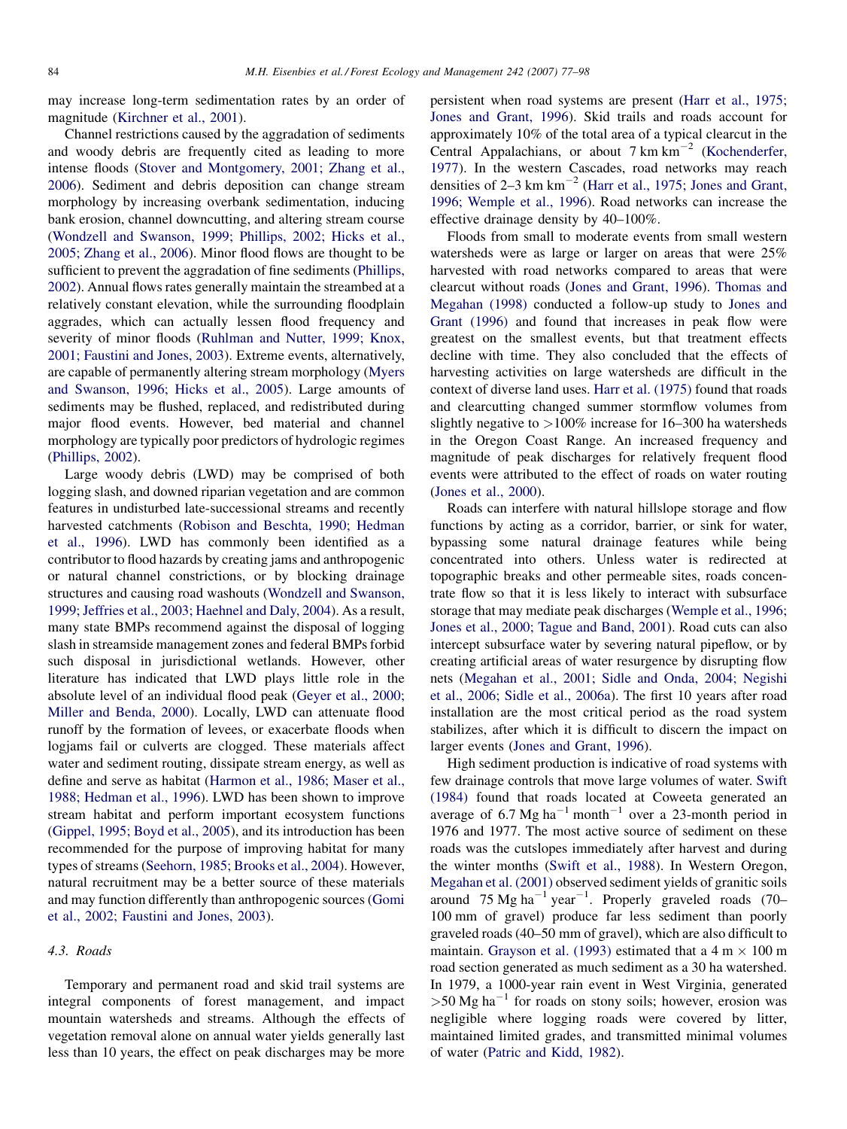may increase long-term sedimentation rates by an order of magnitude ([Kirchner et al., 2001\)](#page-18-0).

Channel restrictions caused by the aggradation of sediments and woody debris are frequently cited as leading to more intense floods ([Stover and Montgomery, 2001; Zhang et al.,](#page-20-0) [2006\)](#page-20-0). Sediment and debris deposition can change stream morphology by increasing overbank sedimentation, inducing bank erosion, channel downcutting, and altering stream course ([Wondzell and Swanson, 1999; Phillips, 2002; Hicks et al.,](#page-21-0) [2005; Zhang et al., 2006\)](#page-21-0). Minor flood flows are thought to be sufficient to prevent the aggradation of fine sediments ([Phillips,](#page-19-0) [2002\)](#page-19-0). Annual flows rates generally maintain the streambed at a relatively constant elevation, while the surrounding floodplain aggrades, which can actually lessen flood frequency and severity of minor floods ([Ruhlman and Nutter, 1999; Knox,](#page-19-0) [2001; Faustini and Jones, 2003\)](#page-19-0). Extreme events, alternatively, are capable of permanently altering stream morphology [\(Myers](#page-19-0) [and Swanson, 1996; Hicks et al., 2005\)](#page-19-0). Large amounts of sediments may be flushed, replaced, and redistributed during major flood events. However, bed material and channel morphology are typically poor predictors of hydrologic regimes ([Phillips, 2002](#page-19-0)).

Large woody debris (LWD) may be comprised of both logging slash, and downed riparian vegetation and are common features in undisturbed late-successional streams and recently harvested catchments [\(Robison and Beschta, 1990; Hedman](#page-19-0) [et al., 1996](#page-19-0)). LWD has commonly been identified as a contributor to flood hazards by creating jams and anthropogenic or natural channel constrictions, or by blocking drainage structures and causing road washouts ([Wondzell and Swanson,](#page-21-0) [1999; Jeffries et al., 2003; Haehnel and Daly, 2004\)](#page-21-0). As a result, many state BMPs recommend against the disposal of logging slash in streamside management zones and federal BMPs forbid such disposal in jurisdictional wetlands. However, other literature has indicated that LWD plays little role in the absolute level of an individual flood peak ([Geyer et al., 2000;](#page-17-0) [Miller and Benda, 2000](#page-17-0)). Locally, LWD can attenuate flood runoff by the formation of levees, or exacerbate floods when logjams fail or culverts are clogged. These materials affect water and sediment routing, dissipate stream energy, as well as define and serve as habitat [\(Harmon et al., 1986; Maser et al.,](#page-17-0) [1988; Hedman et al., 1996](#page-17-0)). LWD has been shown to improve stream habitat and perform important ecosystem functions ([Gippel, 1995; Boyd et al., 2005](#page-17-0)), and its introduction has been recommended for the purpose of improving habitat for many types of streams ([Seehorn, 1985; Brooks et al., 2004\)](#page-20-0). However, natural recruitment may be a better source of these materials and may function differently than anthropogenic sources [\(Gomi](#page-17-0) [et al., 2002; Faustini and Jones, 2003](#page-17-0)).

# 4.3. Roads

Temporary and permanent road and skid trail systems are integral components of forest management, and impact mountain watersheds and streams. Although the effects of vegetation removal alone on annual water yields generally last less than 10 years, the effect on peak discharges may be more persistent when road systems are present ([Harr et al., 1975;](#page-17-0) [Jones and Grant, 1996\)](#page-17-0). Skid trails and roads account for approximately 10% of the total area of a typical clearcut in the Central Appalachians, or about 7 km km<sup>-2</sup> ([Kochenderfer,](#page-18-0) [1977\)](#page-18-0). In the western Cascades, road networks may reach densities of 2–3 km km-<sup>2</sup> [\(Harr et al., 1975; Jones and Grant,](#page-17-0) [1996; Wemple et al., 1996\)](#page-17-0). Road networks can increase the effective drainage density by 40–100%.

Floods from small to moderate events from small western watersheds were as large or larger on areas that were 25% harvested with road networks compared to areas that were clearcut without roads [\(Jones and Grant, 1996\)](#page-18-0). [Thomas and](#page-20-0) [Megahan \(1998\)](#page-20-0) conducted a follow-up study to [Jones and](#page-18-0) [Grant \(1996\)](#page-18-0) and found that increases in peak flow were greatest on the smallest events, but that treatment effects decline with time. They also concluded that the effects of harvesting activities on large watersheds are difficult in the context of diverse land uses. [Harr et al. \(1975\)](#page-17-0) found that roads and clearcutting changed summer stormflow volumes from slightly negative to  $>100\%$  increase for 16–300 ha watersheds in the Oregon Coast Range. An increased frequency and magnitude of peak discharges for relatively frequent flood events were attributed to the effect of roads on water routing [\(Jones et al., 2000\)](#page-18-0).

Roads can interfere with natural hillslope storage and flow functions by acting as a corridor, barrier, or sink for water, bypassing some natural drainage features while being concentrated into others. Unless water is redirected at topographic breaks and other permeable sites, roads concentrate flow so that it is less likely to interact with subsurface storage that may mediate peak discharges [\(Wemple et al., 1996;](#page-21-0) [Jones et al., 2000; Tague and Band, 2001](#page-21-0)). Road cuts can also intercept subsurface water by severing natural pipeflow, or by creating artificial areas of water resurgence by disrupting flow nets [\(Megahan et al., 2001; Sidle and Onda, 2004; Negishi](#page-19-0) [et al., 2006; Sidle et al., 2006a\)](#page-19-0). The first 10 years after road installation are the most critical period as the road system stabilizes, after which it is difficult to discern the impact on larger events [\(Jones and Grant, 1996](#page-18-0)).

High sediment production is indicative of road systems with few drainage controls that move large volumes of water. [Swift](#page-20-0) [\(1984\)](#page-20-0) found that roads located at Coweeta generated an average of 6.7 Mg ha<sup>-1</sup> month<sup>-1</sup> over a 23-month period in 1976 and 1977. The most active source of sediment on these roads was the cutslopes immediately after harvest and during the winter months ([Swift et al., 1988](#page-20-0)). In Western Oregon, [Megahan et al. \(2001\)](#page-19-0) observed sediment yields of granitic soils around  $75 \text{ Mg ha}^{-1} \text{ year}^{-1}$ . Properly graveled roads (70– 100 mm of gravel) produce far less sediment than poorly graveled roads (40–50 mm of gravel), which are also difficult to maintain. [Grayson et al. \(1993\)](#page-17-0) estimated that a  $4 \text{ m} \times 100 \text{ m}$ road section generated as much sediment as a 30 ha watershed. In 1979, a 1000-year rain event in West Virginia, generated  $>50$  Mg ha<sup>-1</sup> for roads on stony soils; however, erosion was negligible where logging roads were covered by litter, maintained limited grades, and transmitted minimal volumes of water [\(Patric and Kidd, 1982](#page-19-0)).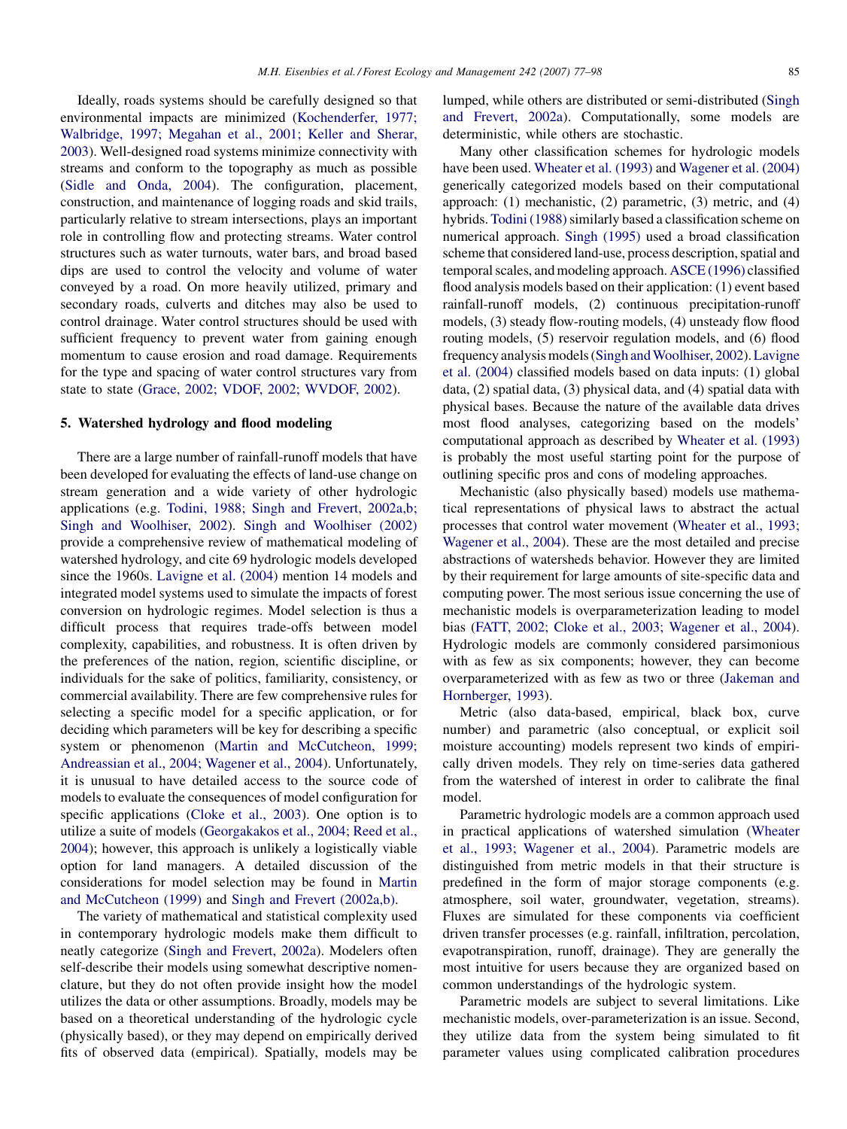Ideally, roads systems should be carefully designed so that environmental impacts are minimized [\(Kochenderfer, 1977;](#page-18-0) [Walbridge, 1997; Megahan et al., 2001; Keller and Sherar,](#page-18-0) [2003](#page-18-0)). Well-designed road systems minimize connectivity with streams and conform to the topography as much as possible ([Sidle and Onda, 2004\)](#page-20-0). The configuration, placement, construction, and maintenance of logging roads and skid trails, particularly relative to stream intersections, plays an important role in controlling flow and protecting streams. Water control structures such as water turnouts, water bars, and broad based dips are used to control the velocity and volume of water conveyed by a road. On more heavily utilized, primary and secondary roads, culverts and ditches may also be used to control drainage. Water control structures should be used with sufficient frequency to prevent water from gaining enough momentum to cause erosion and road damage. Requirements for the type and spacing of water control structures vary from state to state [\(Grace, 2002; VDOF, 2002; WVDOF, 2002\)](#page-17-0).

# 5. Watershed hydrology and flood modeling

There are a large number of rainfall-runoff models that have been developed for evaluating the effects of land-use change on stream generation and a wide variety of other hydrologic applications (e.g. [Todini, 1988; Singh and Frevert, 2002a,b;](#page-20-0) [Singh and Woolhiser, 2002](#page-20-0)). [Singh and Woolhiser \(2002\)](#page-20-0) provide a comprehensive review of mathematical modeling of watershed hydrology, and cite 69 hydrologic models developed since the 1960s. [Lavigne et al. \(2004\)](#page-18-0) mention 14 models and integrated model systems used to simulate the impacts of forest conversion on hydrologic regimes. Model selection is thus a difficult process that requires trade-offs between model complexity, capabilities, and robustness. It is often driven by the preferences of the nation, region, scientific discipline, or individuals for the sake of politics, familiarity, consistency, or commercial availability. There are few comprehensive rules for selecting a specific model for a specific application, or for deciding which parameters will be key for describing a specific system or phenomenon [\(Martin and McCutcheon, 1999;](#page-19-0) [Andreassian et al., 2004; Wagener et al., 2004](#page-19-0)). Unfortunately, it is unusual to have detailed access to the source code of models to evaluate the consequences of model configuration for specific applications [\(Cloke et al., 2003](#page-17-0)). One option is to utilize a suite of models ([Georgakakos et al., 2004; Reed et al.,](#page-17-0) [2004](#page-17-0)); however, this approach is unlikely a logistically viable option for land managers. A detailed discussion of the considerations for model selection may be found in [Martin](#page-19-0) [and McCutcheon \(1999\)](#page-19-0) and [Singh and Frevert \(2002a,b\).](#page-20-0)

The variety of mathematical and statistical complexity used in contemporary hydrologic models make them difficult to neatly categorize ([Singh and Frevert, 2002a](#page-20-0)). Modelers often self-describe their models using somewhat descriptive nomenclature, but they do not often provide insight how the model utilizes the data or other assumptions. Broadly, models may be based on a theoretical understanding of the hydrologic cycle (physically based), or they may depend on empirically derived fits of observed data (empirical). Spatially, models may be lumped, while others are distributed or semi-distributed [\(Singh](#page-20-0) [and Frevert, 2002a](#page-20-0)). Computationally, some models are deterministic, while others are stochastic.

Many other classification schemes for hydrologic models have been used. [Wheater et al. \(1993\)](#page-21-0) and [Wagener et al. \(2004\)](#page-20-0) generically categorized models based on their computational approach: (1) mechanistic, (2) parametric, (3) metric, and (4) hybrids. [Todini \(1988\)](#page-20-0) similarly based a classification scheme on numerical approach. [Singh \(1995\)](#page-20-0) used a broad classification scheme that considered land-use, process description, spatial and temporal scales, and modeling approach. [ASCE \(1996\)](#page-16-0) classified flood analysis models based on their application: (1) event based rainfall-runoff models, (2) continuous precipitation-runoff models, (3) steady flow-routing models, (4) unsteady flow flood routing models, (5) reservoir regulation models, and (6) flood frequency analysis models (Singh and Woolhiser, 2002). [Lavigne](#page-18-0) [et al. \(2004\)](#page-18-0) classified models based on data inputs: (1) global data, (2) spatial data, (3) physical data, and (4) spatial data with physical bases. Because the nature of the available data drives most flood analyses, categorizing based on the models' computational approach as described by [Wheater et al. \(1993\)](#page-21-0) is probably the most useful starting point for the purpose of outlining specific pros and cons of modeling approaches.

Mechanistic (also physically based) models use mathematical representations of physical laws to abstract the actual processes that control water movement ([Wheater et al., 1993;](#page-21-0) [Wagener et al., 2004\)](#page-21-0). These are the most detailed and precise abstractions of watersheds behavior. However they are limited by their requirement for large amounts of site-specific data and computing power. The most serious issue concerning the use of mechanistic models is overparameterization leading to model bias ([FATT, 2002; Cloke et al., 2003; Wagener et al., 2004\)](#page-17-0). Hydrologic models are commonly considered parsimonious with as few as six components; however, they can become overparameterized with as few as two or three ([Jakeman and](#page-18-0) [Hornberger, 1993\)](#page-18-0).

Metric (also data-based, empirical, black box, curve number) and parametric (also conceptual, or explicit soil moisture accounting) models represent two kinds of empirically driven models. They rely on time-series data gathered from the watershed of interest in order to calibrate the final model.

Parametric hydrologic models are a common approach used in practical applications of watershed simulation ([Wheater](#page-21-0) [et al., 1993; Wagener et al., 2004\)](#page-21-0). Parametric models are distinguished from metric models in that their structure is predefined in the form of major storage components (e.g. atmosphere, soil water, groundwater, vegetation, streams). Fluxes are simulated for these components via coefficient driven transfer processes (e.g. rainfall, infiltration, percolation, evapotranspiration, runoff, drainage). They are generally the most intuitive for users because they are organized based on common understandings of the hydrologic system.

Parametric models are subject to several limitations. Like mechanistic models, over-parameterization is an issue. Second, they utilize data from the system being simulated to fit parameter values using complicated calibration procedures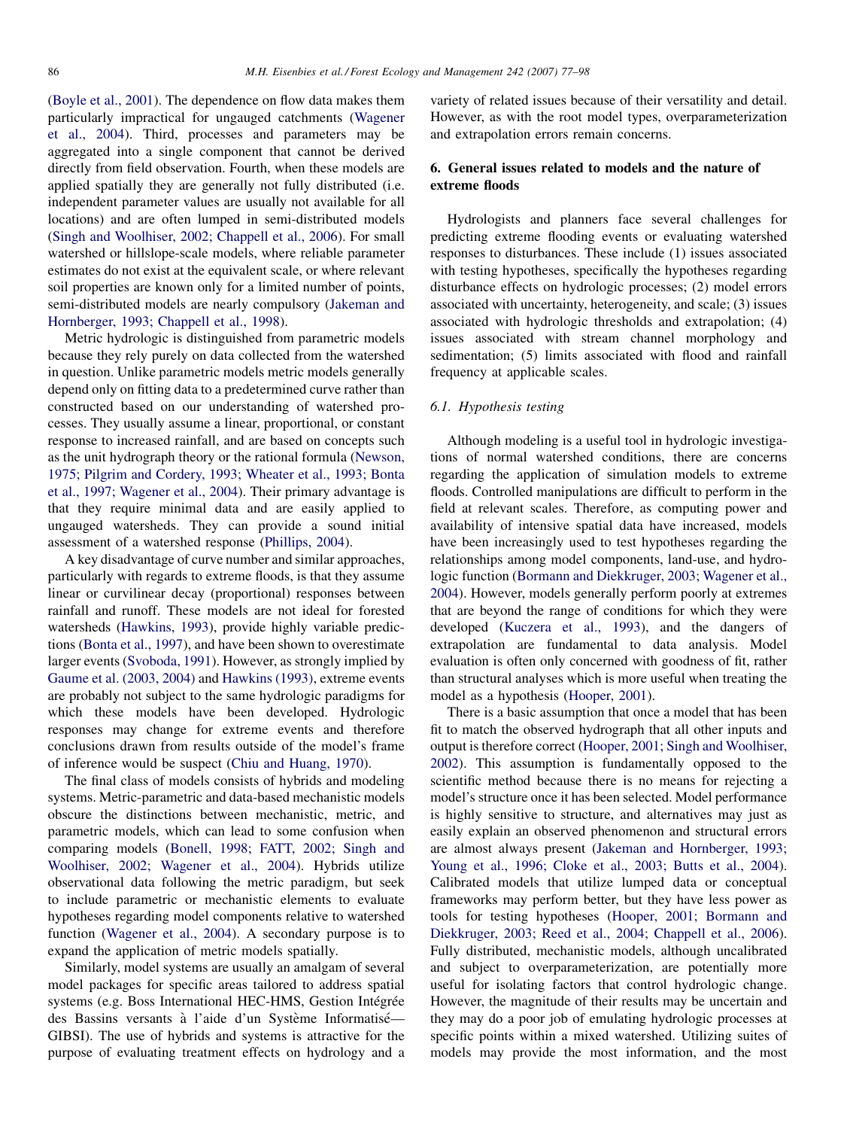([Boyle et al., 2001](#page-16-0)). The dependence on flow data makes them particularly impractical for ungauged catchments [\(Wagener](#page-20-0) [et al., 2004\)](#page-20-0). Third, processes and parameters may be aggregated into a single component that cannot be derived directly from field observation. Fourth, when these models are applied spatially they are generally not fully distributed (i.e. independent parameter values are usually not available for all locations) and are often lumped in semi-distributed models ([Singh and Woolhiser, 2002; Chappell et al., 2006](#page-20-0)). For small watershed or hillslope-scale models, where reliable parameter estimates do not exist at the equivalent scale, or where relevant soil properties are known only for a limited number of points, semi-distributed models are nearly compulsory ([Jakeman and](#page-18-0) [Hornberger, 1993; Chappell et al., 1998\)](#page-18-0).

Metric hydrologic is distinguished from parametric models because they rely purely on data collected from the watershed in question. Unlike parametric models metric models generally depend only on fitting data to a predetermined curve rather than constructed based on our understanding of watershed processes. They usually assume a linear, proportional, or constant response to increased rainfall, and are based on concepts such as the unit hydrograph theory or the rational formula ([Newson,](#page-19-0) [1975; Pilgrim and Cordery, 1993; Wheater et al., 1993; Bonta](#page-19-0) [et al., 1997; Wagener et al., 2004](#page-19-0)). Their primary advantage is that they require minimal data and are easily applied to ungauged watersheds. They can provide a sound initial assessment of a watershed response [\(Phillips, 2004\)](#page-19-0).

A key disadvantage of curve number and similar approaches, particularly with regards to extreme floods, is that they assume linear or curvilinear decay (proportional) responses between rainfall and runoff. These models are not ideal for forested watersheds [\(Hawkins, 1993\)](#page-17-0), provide highly variable predictions ([Bonta et al., 1997\)](#page-16-0), and have been shown to overestimate larger events ([Svoboda, 1991\)](#page-20-0). However, as strongly implied by [Gaume et al. \(2003, 2004\)](#page-17-0) and [Hawkins \(1993\)](#page-17-0), extreme events are probably not subject to the same hydrologic paradigms for which these models have been developed. Hydrologic responses may change for extreme events and therefore conclusions drawn from results outside of the model's frame of inference would be suspect ([Chiu and Huang, 1970\)](#page-16-0).

The final class of models consists of hybrids and modeling systems. Metric-parametric and data-based mechanistic models obscure the distinctions between mechanistic, metric, and parametric models, which can lead to some confusion when comparing models ([Bonell, 1998; FATT, 2002; Singh and](#page-16-0) [Woolhiser, 2002; Wagener et al., 2004](#page-16-0)). Hybrids utilize observational data following the metric paradigm, but seek to include parametric or mechanistic elements to evaluate hypotheses regarding model components relative to watershed function ([Wagener et al., 2004](#page-20-0)). A secondary purpose is to expand the application of metric models spatially.

Similarly, model systems are usually an amalgam of several model packages for specific areas tailored to address spatial systems (e.g. Boss International HEC-HMS, Gestion Intégrée des Bassins versants à l'aide d'un Système Informatisé-GIBSI). The use of hybrids and systems is attractive for the purpose of evaluating treatment effects on hydrology and a variety of related issues because of their versatility and detail. However, as with the root model types, overparameterization and extrapolation errors remain concerns.

# 6. General issues related to models and the nature of extreme floods

Hydrologists and planners face several challenges for predicting extreme flooding events or evaluating watershed responses to disturbances. These include (1) issues associated with testing hypotheses, specifically the hypotheses regarding disturbance effects on hydrologic processes; (2) model errors associated with uncertainty, heterogeneity, and scale; (3) issues associated with hydrologic thresholds and extrapolation; (4) issues associated with stream channel morphology and sedimentation; (5) limits associated with flood and rainfall frequency at applicable scales.

# 6.1. Hypothesis testing

Although modeling is a useful tool in hydrologic investigations of normal watershed conditions, there are concerns regarding the application of simulation models to extreme floods. Controlled manipulations are difficult to perform in the field at relevant scales. Therefore, as computing power and availability of intensive spatial data have increased, models have been increasingly used to test hypotheses regarding the relationships among model components, land-use, and hydrologic function ([Bormann and Diekkruger, 2003; Wagener et al.,](#page-16-0) [2004\)](#page-16-0). However, models generally perform poorly at extremes that are beyond the range of conditions for which they were developed ([Kuczera et al., 1993\)](#page-18-0), and the dangers of extrapolation are fundamental to data analysis. Model evaluation is often only concerned with goodness of fit, rather than structural analyses which is more useful when treating the model as a hypothesis ([Hooper, 2001](#page-18-0)).

There is a basic assumption that once a model that has been fit to match the observed hydrograph that all other inputs and output is therefore correct [\(Hooper, 2001; Singh and Woolhiser,](#page-18-0) [2002\)](#page-18-0). This assumption is fundamentally opposed to the scientific method because there is no means for rejecting a model's structure once it has been selected. Model performance is highly sensitive to structure, and alternatives may just as easily explain an observed phenomenon and structural errors are almost always present ([Jakeman and Hornberger, 1993;](#page-18-0) [Young et al., 1996; Cloke et al., 2003; Butts et al., 2004\)](#page-18-0). Calibrated models that utilize lumped data or conceptual frameworks may perform better, but they have less power as tools for testing hypotheses [\(Hooper, 2001; Bormann and](#page-18-0) [Diekkruger, 2003; Reed et al., 2004; Chappell et al., 2006\)](#page-18-0). Fully distributed, mechanistic models, although uncalibrated and subject to overparameterization, are potentially more useful for isolating factors that control hydrologic change. However, the magnitude of their results may be uncertain and they may do a poor job of emulating hydrologic processes at specific points within a mixed watershed. Utilizing suites of models may provide the most information, and the most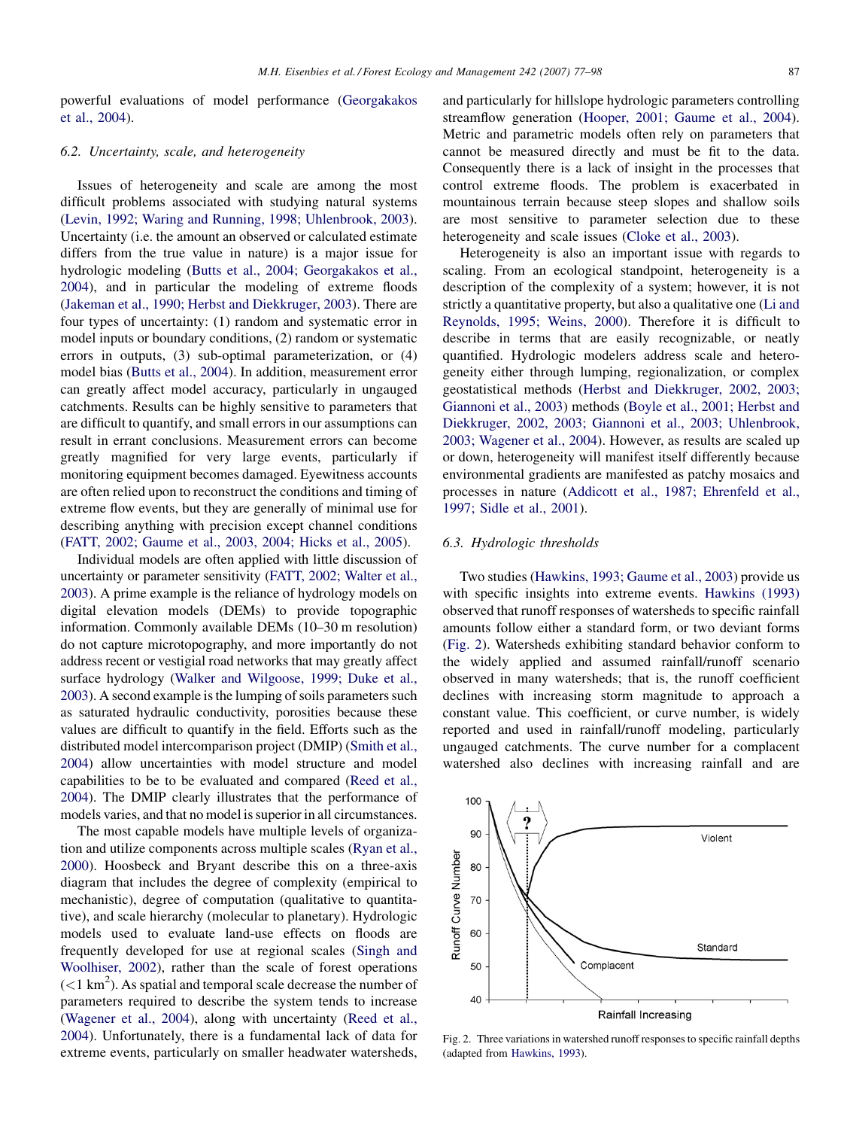powerful evaluations of model performance ([Georgakakos](#page-17-0) [et al., 2004\)](#page-17-0).

# 6.2. Uncertainty, scale, and heterogeneity

Issues of heterogeneity and scale are among the most difficult problems associated with studying natural systems ([Levin, 1992; Waring and Running, 1998; Uhlenbrook, 2003\)](#page-18-0). Uncertainty (i.e. the amount an observed or calculated estimate differs from the true value in nature) is a major issue for hydrologic modeling ([Butts et al., 2004; Georgakakos et al.,](#page-16-0) [2004](#page-16-0)), and in particular the modeling of extreme floods ([Jakeman et al., 1990; Herbst and Diekkruger, 2003\)](#page-18-0). There are four types of uncertainty: (1) random and systematic error in model inputs or boundary conditions, (2) random or systematic errors in outputs, (3) sub-optimal parameterization, or (4) model bias [\(Butts et al., 2004\)](#page-16-0). In addition, measurement error can greatly affect model accuracy, particularly in ungauged catchments. Results can be highly sensitive to parameters that are difficult to quantify, and small errors in our assumptions can result in errant conclusions. Measurement errors can become greatly magnified for very large events, particularly if monitoring equipment becomes damaged. Eyewitness accounts are often relied upon to reconstruct the conditions and timing of extreme flow events, but they are generally of minimal use for describing anything with precision except channel conditions ([FATT, 2002; Gaume et al., 2003, 2004; Hicks et al., 2005](#page-17-0)).

Individual models are often applied with little discussion of uncertainty or parameter sensitivity ([FATT, 2002; Walter et al.,](#page-17-0) [2003](#page-17-0)). A prime example is the reliance of hydrology models on digital elevation models (DEMs) to provide topographic information. Commonly available DEMs (10–30 m resolution) do not capture microtopography, and more importantly do not address recent or vestigial road networks that may greatly affect surface hydrology [\(Walker and Wilgoose, 1999; Duke et al.,](#page-20-0) [2003](#page-20-0)). A second example is the lumping of soils parameters such as saturated hydraulic conductivity, porosities because these values are difficult to quantify in the field. Efforts such as the distributed model intercomparison project (DMIP) [\(Smith et al.,](#page-20-0) [2004](#page-20-0)) allow uncertainties with model structure and model capabilities to be to be evaluated and compared [\(Reed et al.,](#page-19-0) [2004](#page-19-0)). The DMIP clearly illustrates that the performance of models varies, and that no model is superior in all circumstances.

The most capable models have multiple levels of organization and utilize components across multiple scales [\(Ryan et al.,](#page-19-0) [2000](#page-19-0)). Hoosbeck and Bryant describe this on a three-axis diagram that includes the degree of complexity (empirical to mechanistic), degree of computation (qualitative to quantitative), and scale hierarchy (molecular to planetary). Hydrologic models used to evaluate land-use effects on floods are frequently developed for use at regional scales ([Singh and](#page-20-0) [Woolhiser, 2002](#page-20-0)), rather than the scale of forest operations  $(< 1 \text{ km}^2$ ). As spatial and temporal scale decrease the number of parameters required to describe the system tends to increase ([Wagener et al., 2004\)](#page-20-0), along with uncertainty ([Reed et al.,](#page-19-0) [2004](#page-19-0)). Unfortunately, there is a fundamental lack of data for extreme events, particularly on smaller headwater watersheds, and particularly for hillslope hydrologic parameters controlling streamflow generation ([Hooper, 2001; Gaume et al., 2004\)](#page-18-0). Metric and parametric models often rely on parameters that cannot be measured directly and must be fit to the data. Consequently there is a lack of insight in the processes that control extreme floods. The problem is exacerbated in mountainous terrain because steep slopes and shallow soils are most sensitive to parameter selection due to these heterogeneity and scale issues [\(Cloke et al., 2003](#page-17-0)).

Heterogeneity is also an important issue with regards to scaling. From an ecological standpoint, heterogeneity is a description of the complexity of a system; however, it is not strictly a quantitative property, but also a qualitative one [\(Li and](#page-18-0) [Reynolds, 1995; Weins, 2000](#page-18-0)). Therefore it is difficult to describe in terms that are easily recognizable, or neatly quantified. Hydrologic modelers address scale and heterogeneity either through lumping, regionalization, or complex geostatistical methods [\(Herbst and Diekkruger, 2002, 2003;](#page-17-0) [Giannoni et al., 2003](#page-17-0)) methods [\(Boyle et al., 2001; Herbst and](#page-16-0) [Diekkruger, 2002, 2003; Giannoni et al., 2003; Uhlenbrook,](#page-16-0) [2003; Wagener et al., 2004](#page-16-0)). However, as results are scaled up or down, heterogeneity will manifest itself differently because environmental gradients are manifested as patchy mosaics and processes in nature [\(Addicott et al., 1987; Ehrenfeld et al.,](#page-16-0) [1997; Sidle et al., 2001\)](#page-16-0).

# 6.3. Hydrologic thresholds

Two studies [\(Hawkins, 1993; Gaume et al., 2003\)](#page-17-0) provide us with specific insights into extreme events. [Hawkins \(1993\)](#page-17-0) observed that runoff responses of watersheds to specific rainfall amounts follow either a standard form, or two deviant forms (Fig. 2). Watersheds exhibiting standard behavior conform to the widely applied and assumed rainfall/runoff scenario observed in many watersheds; that is, the runoff coefficient declines with increasing storm magnitude to approach a constant value. This coefficient, or curve number, is widely reported and used in rainfall/runoff modeling, particularly ungauged catchments. The curve number for a complacent watershed also declines with increasing rainfall and are



Fig. 2. Three variations in watershed runoff responses to specific rainfall depths (adapted from [Hawkins, 1993](#page-17-0)).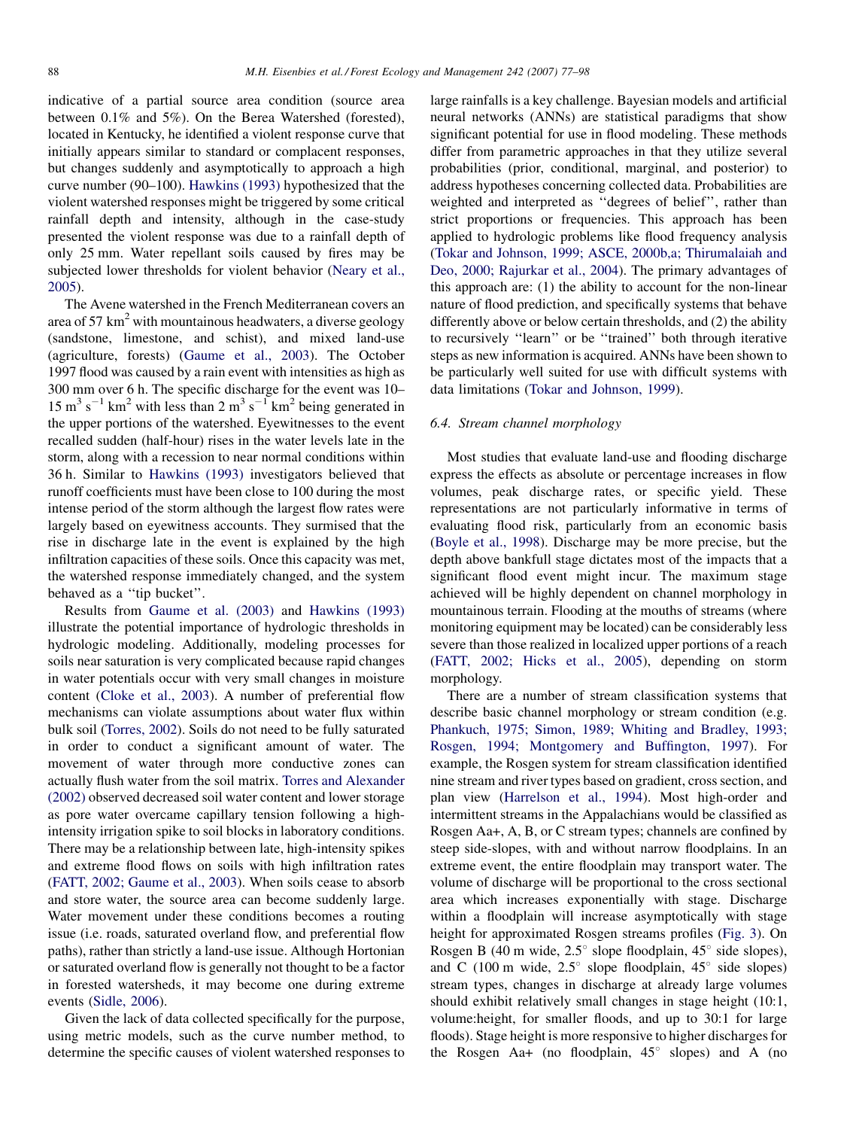indicative of a partial source area condition (source area between 0.1% and 5%). On the Berea Watershed (forested), located in Kentucky, he identified a violent response curve that initially appears similar to standard or complacent responses, but changes suddenly and asymptotically to approach a high curve number (90–100). [Hawkins \(1993\)](#page-17-0) hypothesized that the violent watershed responses might be triggered by some critical rainfall depth and intensity, although in the case-study presented the violent response was due to a rainfall depth of only 25 mm. Water repellant soils caused by fires may be subjected lower thresholds for violent behavior ([Neary et al.,](#page-19-0) [2005\)](#page-19-0).

The Avene watershed in the French Mediterranean covers an area of 57  $km<sup>2</sup>$  with mountainous headwaters, a diverse geology (sandstone, limestone, and schist), and mixed land-use (agriculture, forests) ([Gaume et al., 2003\)](#page-17-0). The October 1997 flood was caused by a rain event with intensities as high as 300 mm over 6 h. The specific discharge for the event was 10–  $15 \text{ m}^3 \text{ s}^{-1} \text{ km}^2$  with less than  $2 \text{ m}^3 \text{ s}^{-1} \text{ km}^2$  being generated in the upper portions of the watershed. Eyewitnesses to the event recalled sudden (half-hour) rises in the water levels late in the storm, along with a recession to near normal conditions within 36 h. Similar to [Hawkins \(1993\)](#page-17-0) investigators believed that runoff coefficients must have been close to 100 during the most intense period of the storm although the largest flow rates were largely based on eyewitness accounts. They surmised that the rise in discharge late in the event is explained by the high infiltration capacities of these soils. Once this capacity was met, the watershed response immediately changed, and the system behaved as a ''tip bucket''.

Results from [Gaume et al. \(2003\)](#page-17-0) and [Hawkins \(1993\)](#page-17-0) illustrate the potential importance of hydrologic thresholds in hydrologic modeling. Additionally, modeling processes for soils near saturation is very complicated because rapid changes in water potentials occur with very small changes in moisture content ([Cloke et al., 2003](#page-17-0)). A number of preferential flow mechanisms can violate assumptions about water flux within bulk soil [\(Torres, 2002\)](#page-20-0). Soils do not need to be fully saturated in order to conduct a significant amount of water. The movement of water through more conductive zones can actually flush water from the soil matrix. [Torres and Alexander](#page-20-0) [\(2002\)](#page-20-0) observed decreased soil water content and lower storage as pore water overcame capillary tension following a highintensity irrigation spike to soil blocks in laboratory conditions. There may be a relationship between late, high-intensity spikes and extreme flood flows on soils with high infiltration rates ([FATT, 2002; Gaume et al., 2003\)](#page-17-0). When soils cease to absorb and store water, the source area can become suddenly large. Water movement under these conditions becomes a routing issue (i.e. roads, saturated overland flow, and preferential flow paths), rather than strictly a land-use issue. Although Hortonian or saturated overland flow is generally not thought to be a factor in forested watersheds, it may become one during extreme events ([Sidle, 2006\)](#page-20-0).

Given the lack of data collected specifically for the purpose, using metric models, such as the curve number method, to determine the specific causes of violent watershed responses to large rainfalls is a key challenge. Bayesian models and artificial neural networks (ANNs) are statistical paradigms that show significant potential for use in flood modeling. These methods differ from parametric approaches in that they utilize several probabilities (prior, conditional, marginal, and posterior) to address hypotheses concerning collected data. Probabilities are weighted and interpreted as ''degrees of belief'', rather than strict proportions or frequencies. This approach has been applied to hydrologic problems like flood frequency analysis [\(Tokar and Johnson, 1999; ASCE, 2000b,a; Thirumalaiah and](#page-20-0) [Deo, 2000; Rajurkar et al., 2004](#page-20-0)). The primary advantages of this approach are: (1) the ability to account for the non-linear nature of flood prediction, and specifically systems that behave differently above or below certain thresholds, and (2) the ability to recursively ''learn'' or be ''trained'' both through iterative steps as new information is acquired. ANNs have been shown to be particularly well suited for use with difficult systems with data limitations [\(Tokar and Johnson, 1999](#page-20-0)).

#### 6.4. Stream channel morphology

Most studies that evaluate land-use and flooding discharge express the effects as absolute or percentage increases in flow volumes, peak discharge rates, or specific yield. These representations are not particularly informative in terms of evaluating flood risk, particularly from an economic basis [\(Boyle et al., 1998\)](#page-16-0). Discharge may be more precise, but the depth above bankfull stage dictates most of the impacts that a significant flood event might incur. The maximum stage achieved will be highly dependent on channel morphology in mountainous terrain. Flooding at the mouths of streams (where monitoring equipment may be located) can be considerably less severe than those realized in localized upper portions of a reach [\(FATT, 2002; Hicks et al., 2005](#page-17-0)), depending on storm morphology.

There are a number of stream classification systems that describe basic channel morphology or stream condition (e.g. [Phankuch, 1975; Simon, 1989; Whiting and Bradley, 1993;](#page-19-0) [Rosgen, 1994; Montgomery and Buffington, 1997\)](#page-19-0). For example, the Rosgen system for stream classification identified nine stream and river types based on gradient, cross section, and plan view ([Harrelson et al., 1994](#page-17-0)). Most high-order and intermittent streams in the Appalachians would be classified as Rosgen Aa+, A, B, or C stream types; channels are confined by steep side-slopes, with and without narrow floodplains. In an extreme event, the entire floodplain may transport water. The volume of discharge will be proportional to the cross sectional area which increases exponentially with stage. Discharge within a floodplain will increase asymptotically with stage height for approximated Rosgen streams profiles [\(Fig. 3](#page-12-0)). On Rosgen B (40 m wide,  $2.5^{\circ}$  slope floodplain,  $45^{\circ}$  side slopes), and C (100 m wide,  $2.5^{\circ}$  slope floodplain,  $45^{\circ}$  side slopes) stream types, changes in discharge at already large volumes should exhibit relatively small changes in stage height (10:1, volume:height, for smaller floods, and up to 30:1 for large floods). Stage height is more responsive to higher discharges for the Rosgen Aa+ (no floodplain,  $45^{\circ}$  slopes) and A (no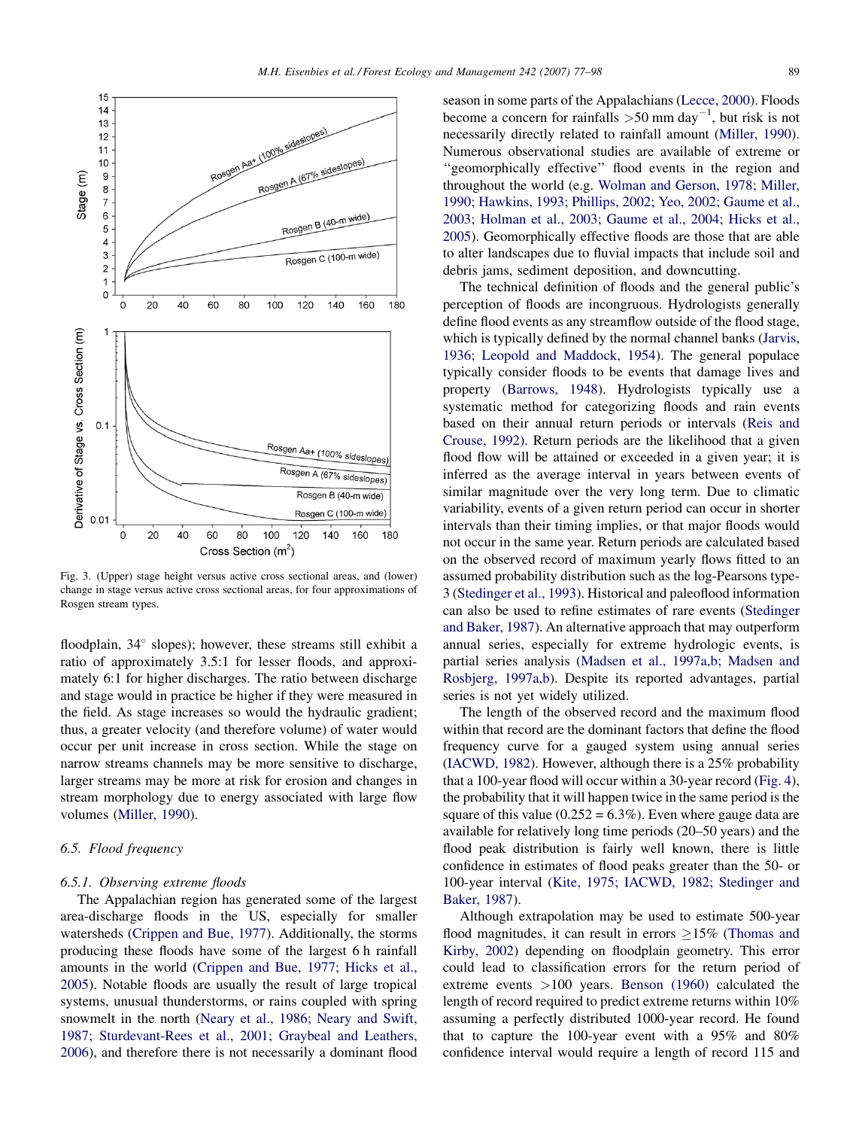<span id="page-12-0"></span>

Fig. 3. (Upper) stage height versus active cross sectional areas, and (lower) change in stage versus active cross sectional areas, for four approximations of Rosgen stream types.

floodplain,  $34^\circ$  slopes); however, these streams still exhibit a ratio of approximately 3.5:1 for lesser floods, and approximately 6:1 for higher discharges. The ratio between discharge and stage would in practice be higher if they were measured in the field. As stage increases so would the hydraulic gradient; thus, a greater velocity (and therefore volume) of water would occur per unit increase in cross section. While the stage on narrow streams channels may be more sensitive to discharge, larger streams may be more at risk for erosion and changes in stream morphology due to energy associated with large flow volumes ([Miller, 1990\)](#page-19-0).

## 6.5. Flood frequency

#### 6.5.1. Observing extreme floods

The Appalachian region has generated some of the largest area-discharge floods in the US, especially for smaller watersheds [\(Crippen and Bue, 1977](#page-17-0)). Additionally, the storms producing these floods have some of the largest 6 h rainfall amounts in the world ([Crippen and Bue, 1977; Hicks et al.,](#page-17-0) [2005](#page-17-0)). Notable floods are usually the result of large tropical systems, unusual thunderstorms, or rains coupled with spring snowmelt in the north ([Neary et al., 1986; Neary and Swift,](#page-19-0) [1987; Sturdevant-Rees et al., 2001; Graybeal and Leathers,](#page-19-0) [2006](#page-19-0)), and therefore there is not necessarily a dominant flood season in some parts of the Appalachians [\(Lecce, 2000\)](#page-18-0). Floods become a concern for rainfalls  $>50$  mm day<sup>-1</sup>, but risk is not necessarily directly related to rainfall amount ([Miller, 1990\)](#page-19-0). Numerous observational studies are available of extreme or ''geomorphically effective'' flood events in the region and throughout the world (e.g. [Wolman and Gerson, 1978; Miller,](#page-21-0) [1990; Hawkins, 1993; Phillips, 2002; Yeo, 2002; Gaume et al.,](#page-21-0) [2003; Holman et al., 2003; Gaume et al., 2004; Hicks et al.,](#page-21-0) [2005](#page-21-0)). Geomorphically effective floods are those that are able to alter landscapes due to fluvial impacts that include soil and debris jams, sediment deposition, and downcutting.

The technical definition of floods and the general public's perception of floods are incongruous. Hydrologists generally define flood events as any streamflow outside of the flood stage, which is typically defined by the normal channel banks ([Jarvis,](#page-18-0) [1936; Leopold and Maddock, 1954](#page-18-0)). The general populace typically consider floods to be events that damage lives and property ([Barrows, 1948\)](#page-16-0). Hydrologists typically use a systematic method for categorizing floods and rain events based on their annual return periods or intervals ([Reis and](#page-19-0) [Crouse, 1992\)](#page-19-0). Return periods are the likelihood that a given flood flow will be attained or exceeded in a given year; it is inferred as the average interval in years between events of similar magnitude over the very long term. Due to climatic variability, events of a given return period can occur in shorter intervals than their timing implies, or that major floods would not occur in the same year. Return periods are calculated based on the observed record of maximum yearly flows fitted to an assumed probability distribution such as the log-Pearsons type-3 ([Stedinger et al., 1993](#page-20-0)). Historical and paleoflood information can also be used to refine estimates of rare events [\(Stedinger](#page-20-0) [and Baker, 1987](#page-20-0)). An alternative approach that may outperform annual series, especially for extreme hydrologic events, is partial series analysis ([Madsen et al., 1997a,b; Madsen and](#page-19-0) [Rosbjerg, 1997a,b\)](#page-19-0). Despite its reported advantages, partial series is not yet widely utilized.

The length of the observed record and the maximum flood within that record are the dominant factors that define the flood frequency curve for a gauged system using annual series ([IACWD, 1982](#page-18-0)). However, although there is a 25% probability that a 100-year flood will occur within a 30-year record ([Fig. 4\)](#page-13-0), the probability that it will happen twice in the same period is the square of this value  $(0.252 = 6.3\%)$ . Even where gauge data are available for relatively long time periods (20–50 years) and the flood peak distribution is fairly well known, there is little confidence in estimates of flood peaks greater than the 50- or 100-year interval ([Kite, 1975; IACWD, 1982; Stedinger and](#page-18-0) [Baker, 1987\)](#page-18-0).

Although extrapolation may be used to estimate 500-year flood magnitudes, it can result in errors  $\geq 15\%$  [\(Thomas and](#page-20-0) [Kirby, 2002](#page-20-0)) depending on floodplain geometry. This error could lead to classification errors for the return period of extreme events >100 years. [Benson \(1960\)](#page-16-0) calculated the length of record required to predict extreme returns within 10% assuming a perfectly distributed 1000-year record. He found that to capture the 100-year event with a 95% and 80% confidence interval would require a length of record 115 and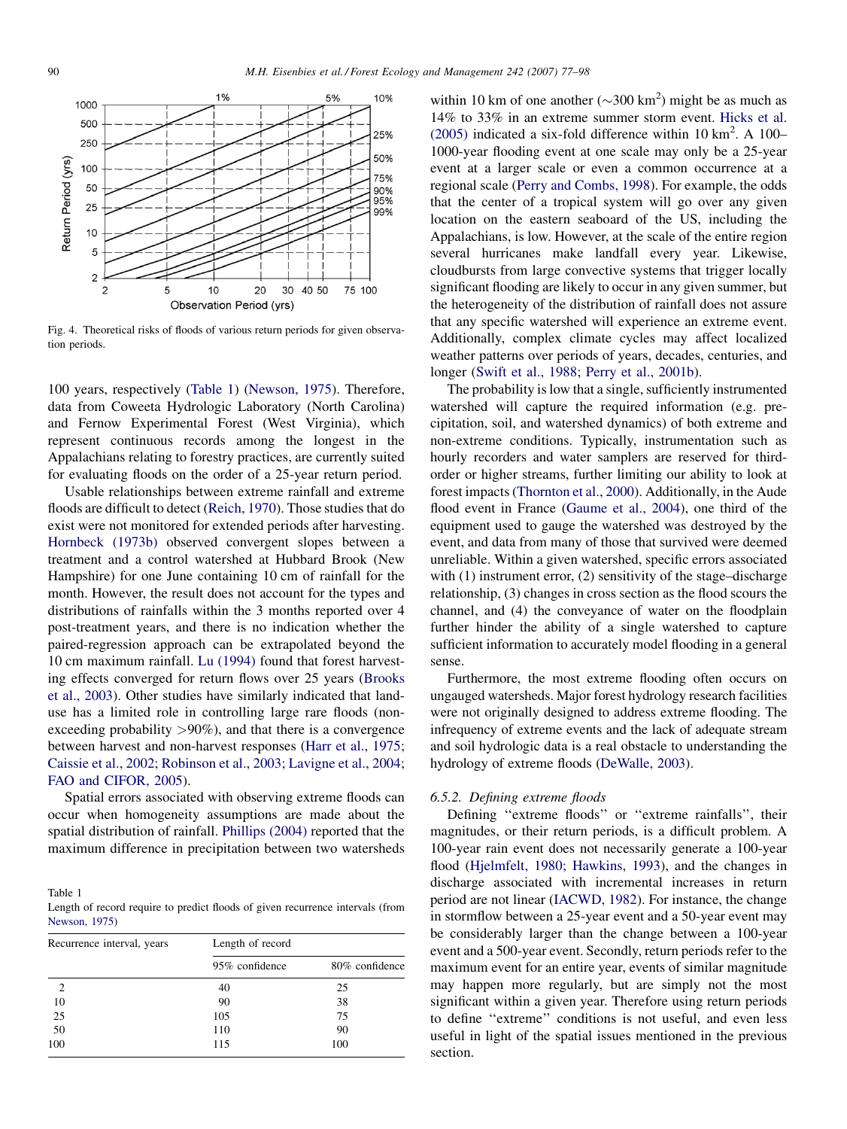<span id="page-13-0"></span>

Fig. 4. Theoretical risks of floods of various return periods for given observation periods.

100 years, respectively (Table 1) [\(Newson, 1975](#page-19-0)). Therefore, data from Coweeta Hydrologic Laboratory (North Carolina) and Fernow Experimental Forest (West Virginia), which represent continuous records among the longest in the Appalachians relating to forestry practices, are currently suited for evaluating floods on the order of a 25-year return period.

Usable relationships between extreme rainfall and extreme floods are difficult to detect [\(Reich, 1970](#page-19-0)). Those studies that do exist were not monitored for extended periods after harvesting. [Hornbeck \(1973b\)](#page-18-0) observed convergent slopes between a treatment and a control watershed at Hubbard Brook (New Hampshire) for one June containing 10 cm of rainfall for the month. However, the result does not account for the types and distributions of rainfalls within the 3 months reported over 4 post-treatment years, and there is no indication whether the paired-regression approach can be extrapolated beyond the 10 cm maximum rainfall. [Lu \(1994\)](#page-18-0) found that forest harvesting effects converged for return flows over 25 years ([Brooks](#page-16-0) [et al., 2003](#page-16-0)). Other studies have similarly indicated that landuse has a limited role in controlling large rare floods (nonexceeding probability >90%), and that there is a convergence between harvest and non-harvest responses ([Harr et al., 1975;](#page-17-0) [Caissie et al., 2002; Robinson et al., 2003; Lavigne et al., 2004;](#page-17-0) [FAO and CIFOR, 2005\)](#page-17-0).

Spatial errors associated with observing extreme floods can occur when homogeneity assumptions are made about the spatial distribution of rainfall. [Phillips \(2004\)](#page-19-0) reported that the maximum difference in precipitation between two watersheds

Table 1

Length of record require to predict floods of given recurrence intervals (from [Newson, 1975](#page-19-0))

| Recurrence interval, years | Length of record |                |  |  |
|----------------------------|------------------|----------------|--|--|
|                            | 95% confidence   | 80% confidence |  |  |
| $\overline{2}$             | 40               | 25             |  |  |
| 10                         | 90               | 38             |  |  |
| 25                         | 105              | 75             |  |  |
| 50                         | 110              | 90             |  |  |
| 100                        | 115              | 100            |  |  |

within 10 km of one another  $(\sim 300 \text{ km}^2)$  might be as much as 14% to 33% in an extreme summer storm event. [Hicks et al.](#page-18-0) [\(2005\)](#page-18-0) indicated a six-fold difference within  $10 \text{ km}^2$ . A  $100-$ 1000-year flooding event at one scale may only be a 25-year event at a larger scale or even a common occurrence at a regional scale ([Perry and Combs, 1998](#page-19-0)). For example, the odds that the center of a tropical system will go over any given location on the eastern seaboard of the US, including the Appalachians, is low. However, at the scale of the entire region several hurricanes make landfall every year. Likewise, cloudbursts from large convective systems that trigger locally significant flooding are likely to occur in any given summer, but the heterogeneity of the distribution of rainfall does not assure that any specific watershed will experience an extreme event. Additionally, complex climate cycles may affect localized weather patterns over periods of years, decades, centuries, and longer ([Swift et al., 1988; Perry et al., 2001b](#page-20-0)).

The probability is low that a single, sufficiently instrumented watershed will capture the required information (e.g. precipitation, soil, and watershed dynamics) of both extreme and non-extreme conditions. Typically, instrumentation such as hourly recorders and water samplers are reserved for thirdorder or higher streams, further limiting our ability to look at forest impacts ([Thornton et al., 2000](#page-20-0)). Additionally, in the Aude flood event in France [\(Gaume et al., 2004](#page-17-0)), one third of the equipment used to gauge the watershed was destroyed by the event, and data from many of those that survived were deemed unreliable. Within a given watershed, specific errors associated with (1) instrument error, (2) sensitivity of the stage–discharge relationship, (3) changes in cross section as the flood scours the channel, and (4) the conveyance of water on the floodplain further hinder the ability of a single watershed to capture sufficient information to accurately model flooding in a general sense.

Furthermore, the most extreme flooding often occurs on ungauged watersheds. Major forest hydrology research facilities were not originally designed to address extreme flooding. The infrequency of extreme events and the lack of adequate stream and soil hydrologic data is a real obstacle to understanding the hydrology of extreme floods [\(DeWalle, 2003](#page-17-0)).

#### 6.5.2. Defining extreme floods

Defining ''extreme floods'' or ''extreme rainfalls'', their magnitudes, or their return periods, is a difficult problem. A 100-year rain event does not necessarily generate a 100-year flood ([Hjelmfelt, 1980; Hawkins, 1993\)](#page-18-0), and the changes in discharge associated with incremental increases in return period are not linear ([IACWD, 1982](#page-18-0)). For instance, the change in stormflow between a 25-year event and a 50-year event may be considerably larger than the change between a 100-year event and a 500-year event. Secondly, return periods refer to the maximum event for an entire year, events of similar magnitude may happen more regularly, but are simply not the most significant within a given year. Therefore using return periods to define ''extreme'' conditions is not useful, and even less useful in light of the spatial issues mentioned in the previous section.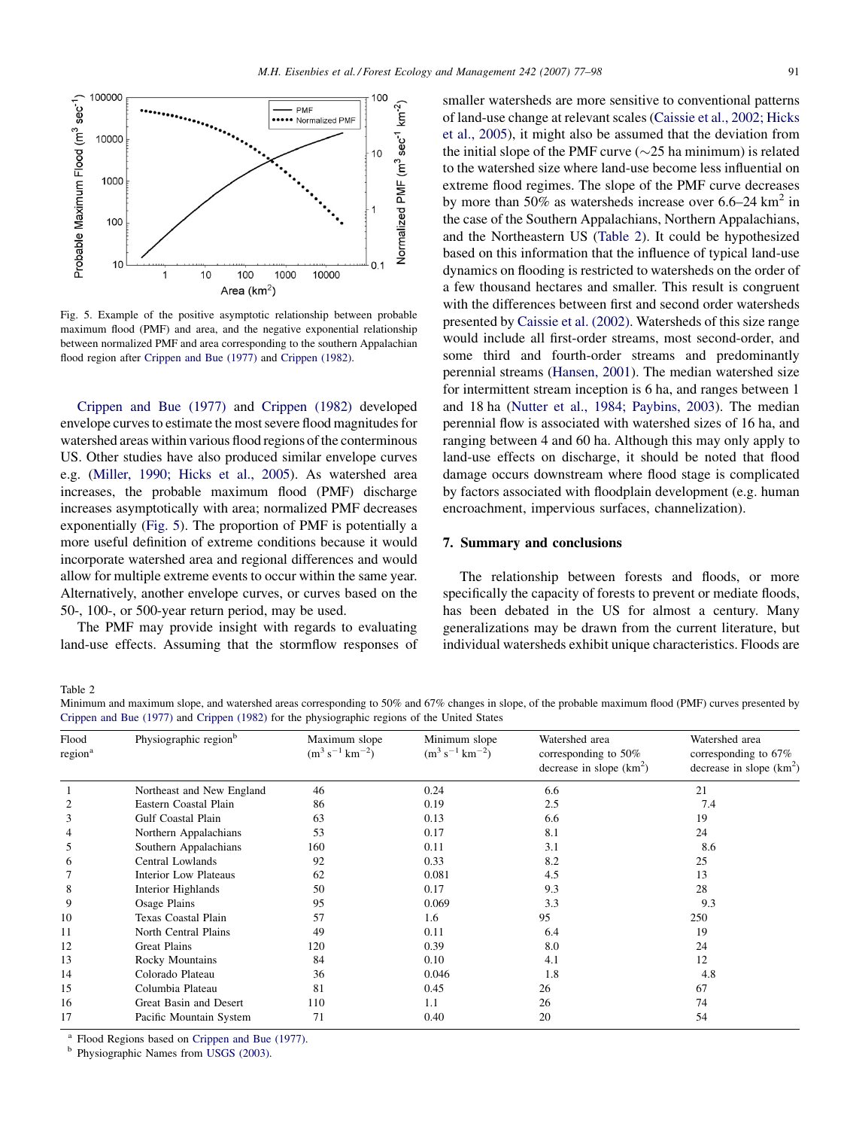

Fig. 5. Example of the positive asymptotic relationship between probable maximum flood (PMF) and area, and the negative exponential relationship between normalized PMF and area corresponding to the southern Appalachian flood region after [Crippen and Bue \(1977\)](#page-17-0) and [Crippen \(1982\)](#page-17-0).

[Crippen and Bue \(1977\)](#page-17-0) and [Crippen \(1982\)](#page-17-0) developed envelope curves to estimate the most severe flood magnitudes for watershed areas within various flood regions of the conterminous US. Other studies have also produced similar envelope curves e.g. [\(Miller, 1990; Hicks et al., 2005\)](#page-19-0). As watershed area increases, the probable maximum flood (PMF) discharge increases asymptotically with area; normalized PMF decreases exponentially (Fig. 5). The proportion of PMF is potentially a more useful definition of extreme conditions because it would incorporate watershed area and regional differences and would allow for multiple extreme events to occur within the same year. Alternatively, another envelope curves, or curves based on the 50-, 100-, or 500-year return period, may be used.

The PMF may provide insight with regards to evaluating land-use effects. Assuming that the stormflow responses of smaller watersheds are more sensitive to conventional patterns of land-use change at relevant scales [\(Caissie et al., 2002; Hicks](#page-16-0) [et al., 2005\)](#page-16-0), it might also be assumed that the deviation from the initial slope of the PMF curve  $(\sim 25$  ha minimum) is related to the watershed size where land-use become less influential on extreme flood regimes. The slope of the PMF curve decreases by more than 50% as watersheds increase over  $6.6-24 \text{ km}^2$  in the case of the Southern Appalachians, Northern Appalachians, and the Northeastern US (Table 2). It could be hypothesized based on this information that the influence of typical land-use dynamics on flooding is restricted to watersheds on the order of a few thousand hectares and smaller. This result is congruent with the differences between first and second order watersheds presented by [Caissie et al. \(2002\).](#page-16-0) Watersheds of this size range would include all first-order streams, most second-order, and some third and fourth-order streams and predominantly perennial streams ([Hansen, 2001\)](#page-17-0). The median watershed size for intermittent stream inception is 6 ha, and ranges between 1 and 18 ha ([Nutter et al., 1984; Paybins, 2003](#page-19-0)). The median perennial flow is associated with watershed sizes of 16 ha, and ranging between 4 and 60 ha. Although this may only apply to land-use effects on discharge, it should be noted that flood damage occurs downstream where flood stage is complicated by factors associated with floodplain development (e.g. human encroachment, impervious surfaces, channelization).

## 7. Summary and conclusions

The relationship between forests and floods, or more specifically the capacity of forests to prevent or mediate floods, has been debated in the US for almost a century. Many generalizations may be drawn from the current literature, but individual watersheds exhibit unique characteristics. Floods are

Table 2

Minimum and maximum slope, and watershed areas corresponding to 50% and 67% changes in slope, of the probable maximum flood (PMF) curves presented by [Crippen and Bue \(1977\)](#page-17-0) and [Crippen \(1982\)](#page-17-0) for the physiographic regions of the United States

| Flood<br>region <sup>a</sup> | Physiographic region <sup>b</sup> | Maximum slope<br>$(m^3 s^{-1} km^{-2})$ | Minimum slope<br>$(m^3 s^{-1} km^{-2})$ | Watershed area<br>corresponding to 50%<br>decrease in slope $(km2)$ | Watershed area<br>corresponding to $67\%$<br>decrease in slope $(km^2)$ |
|------------------------------|-----------------------------------|-----------------------------------------|-----------------------------------------|---------------------------------------------------------------------|-------------------------------------------------------------------------|
|                              | Northeast and New England         | 46                                      | 0.24                                    | 6.6                                                                 | 21                                                                      |
| 2                            | Eastern Coastal Plain             | 86                                      | 0.19                                    | 2.5                                                                 | 7.4                                                                     |
| 3                            | <b>Gulf Coastal Plain</b>         | 63                                      | 0.13                                    | 6.6                                                                 | 19                                                                      |
| 4                            | Northern Appalachians             | 53                                      | 0.17                                    | 8.1                                                                 | 24                                                                      |
| 5                            | Southern Appalachians             | 160                                     | 0.11                                    | 3.1                                                                 | 8.6                                                                     |
| 6                            | Central Lowlands                  | 92                                      | 0.33                                    | 8.2                                                                 | 25                                                                      |
|                              | Interior Low Plateaus             | 62                                      | 0.081                                   | 4.5                                                                 | 13                                                                      |
| 8                            | Interior Highlands                | 50                                      | 0.17                                    | 9.3                                                                 | 28                                                                      |
| 9                            | Osage Plains                      | 95                                      | 0.069                                   | 3.3                                                                 | 9.3                                                                     |
| 10                           | Texas Coastal Plain               | 57                                      | 1.6                                     | 95                                                                  | 250                                                                     |
| 11                           | North Central Plains              | 49                                      | 0.11                                    | 6.4                                                                 | 19                                                                      |
| 12                           | <b>Great Plains</b>               | 120                                     | 0.39                                    | 8.0                                                                 | 24                                                                      |
| 13                           | Rocky Mountains                   | 84                                      | 0.10                                    | 4.1                                                                 | 12                                                                      |
| 14                           | Colorado Plateau                  | 36                                      | 0.046                                   | 1.8                                                                 | 4.8                                                                     |
| 15                           | Columbia Plateau                  | 81                                      | 0.45                                    | 26                                                                  | 67                                                                      |
| 16                           | Great Basin and Desert            | 110                                     | 1.1                                     | 26                                                                  | 74                                                                      |
| 17                           | Pacific Mountain System           | 71                                      | 0.40                                    | 20                                                                  | 54                                                                      |

<sup>a</sup> Flood Regions based on [Crippen and Bue \(1977\).](#page-17-0)<br><sup>b</sup> Physiographic Names from [USGS \(2003\)](#page-20-0).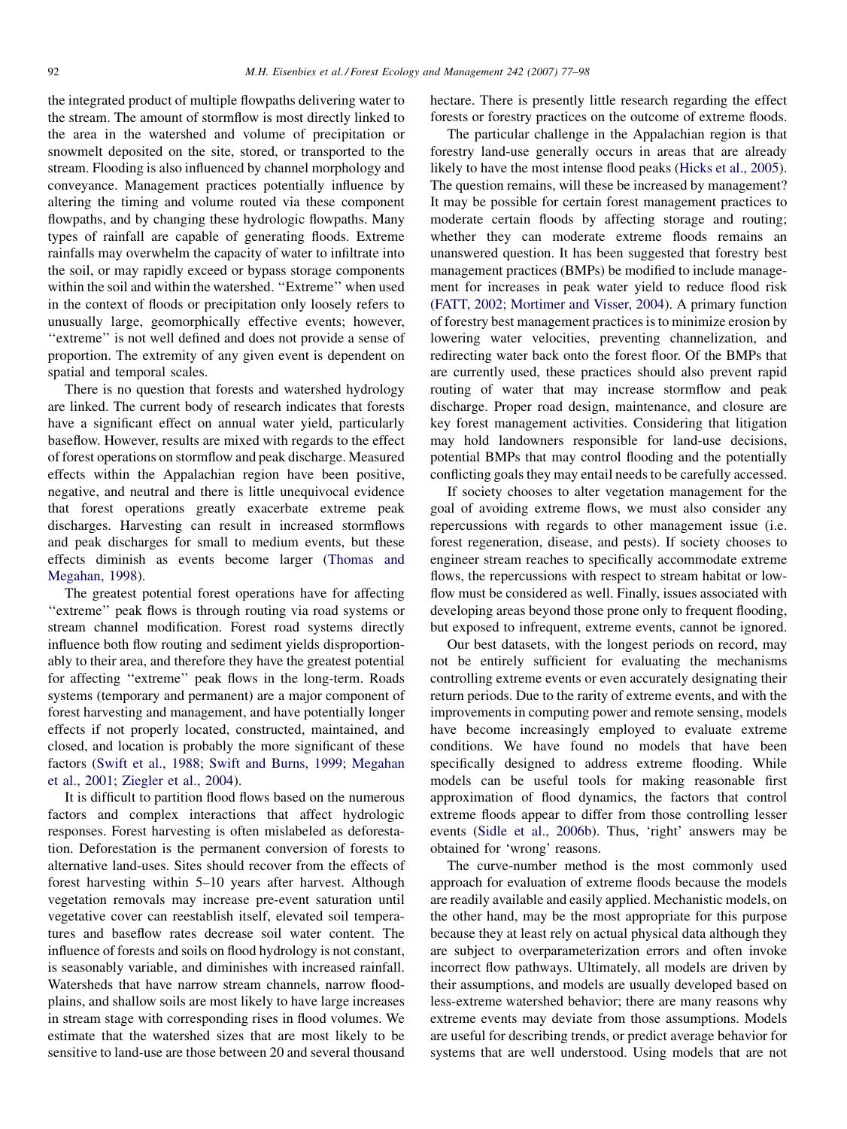the integrated product of multiple flowpaths delivering water to the stream. The amount of stormflow is most directly linked to the area in the watershed and volume of precipitation or snowmelt deposited on the site, stored, or transported to the stream. Flooding is also influenced by channel morphology and conveyance. Management practices potentially influence by altering the timing and volume routed via these component flowpaths, and by changing these hydrologic flowpaths. Many types of rainfall are capable of generating floods. Extreme rainfalls may overwhelm the capacity of water to infiltrate into the soil, or may rapidly exceed or bypass storage components within the soil and within the watershed. ''Extreme'' when used in the context of floods or precipitation only loosely refers to unusually large, geomorphically effective events; however, "extreme" is not well defined and does not provide a sense of proportion. The extremity of any given event is dependent on spatial and temporal scales.

There is no question that forests and watershed hydrology are linked. The current body of research indicates that forests have a significant effect on annual water yield, particularly baseflow. However, results are mixed with regards to the effect of forest operations on stormflow and peak discharge. Measured effects within the Appalachian region have been positive, negative, and neutral and there is little unequivocal evidence that forest operations greatly exacerbate extreme peak discharges. Harvesting can result in increased stormflows and peak discharges for small to medium events, but these effects diminish as events become larger ([Thomas and](#page-20-0) [Megahan, 1998\)](#page-20-0).

The greatest potential forest operations have for affecting "extreme" peak flows is through routing via road systems or stream channel modification. Forest road systems directly influence both flow routing and sediment yields disproportionably to their area, and therefore they have the greatest potential for affecting ''extreme'' peak flows in the long-term. Roads systems (temporary and permanent) are a major component of forest harvesting and management, and have potentially longer effects if not properly located, constructed, maintained, and closed, and location is probably the more significant of these factors [\(Swift et al., 1988; Swift and Burns, 1999; Megahan](#page-20-0) [et al., 2001; Ziegler et al., 2004](#page-20-0)).

It is difficult to partition flood flows based on the numerous factors and complex interactions that affect hydrologic responses. Forest harvesting is often mislabeled as deforestation. Deforestation is the permanent conversion of forests to alternative land-uses. Sites should recover from the effects of forest harvesting within 5–10 years after harvest. Although vegetation removals may increase pre-event saturation until vegetative cover can reestablish itself, elevated soil temperatures and baseflow rates decrease soil water content. The influence of forests and soils on flood hydrology is not constant, is seasonably variable, and diminishes with increased rainfall. Watersheds that have narrow stream channels, narrow floodplains, and shallow soils are most likely to have large increases in stream stage with corresponding rises in flood volumes. We estimate that the watershed sizes that are most likely to be sensitive to land-use are those between 20 and several thousand

hectare. There is presently little research regarding the effect forests or forestry practices on the outcome of extreme floods.

The particular challenge in the Appalachian region is that forestry land-use generally occurs in areas that are already likely to have the most intense flood peaks ([Hicks et al., 2005\)](#page-18-0). The question remains, will these be increased by management? It may be possible for certain forest management practices to moderate certain floods by affecting storage and routing; whether they can moderate extreme floods remains an unanswered question. It has been suggested that forestry best management practices (BMPs) be modified to include management for increases in peak water yield to reduce flood risk [\(FATT, 2002; Mortimer and Visser, 2004](#page-17-0)). A primary function of forestry best management practices is to minimize erosion by lowering water velocities, preventing channelization, and redirecting water back onto the forest floor. Of the BMPs that are currently used, these practices should also prevent rapid routing of water that may increase stormflow and peak discharge. Proper road design, maintenance, and closure are key forest management activities. Considering that litigation may hold landowners responsible for land-use decisions, potential BMPs that may control flooding and the potentially conflicting goals they may entail needs to be carefully accessed.

If society chooses to alter vegetation management for the goal of avoiding extreme flows, we must also consider any repercussions with regards to other management issue (i.e. forest regeneration, disease, and pests). If society chooses to engineer stream reaches to specifically accommodate extreme flows, the repercussions with respect to stream habitat or lowflow must be considered as well. Finally, issues associated with developing areas beyond those prone only to frequent flooding, but exposed to infrequent, extreme events, cannot be ignored.

Our best datasets, with the longest periods on record, may not be entirely sufficient for evaluating the mechanisms controlling extreme events or even accurately designating their return periods. Due to the rarity of extreme events, and with the improvements in computing power and remote sensing, models have become increasingly employed to evaluate extreme conditions. We have found no models that have been specifically designed to address extreme flooding. While models can be useful tools for making reasonable first approximation of flood dynamics, the factors that control extreme floods appear to differ from those controlling lesser events [\(Sidle et al., 2006b](#page-20-0)). Thus, 'right' answers may be obtained for 'wrong' reasons.

The curve-number method is the most commonly used approach for evaluation of extreme floods because the models are readily available and easily applied. Mechanistic models, on the other hand, may be the most appropriate for this purpose because they at least rely on actual physical data although they are subject to overparameterization errors and often invoke incorrect flow pathways. Ultimately, all models are driven by their assumptions, and models are usually developed based on less-extreme watershed behavior; there are many reasons why extreme events may deviate from those assumptions. Models are useful for describing trends, or predict average behavior for systems that are well understood. Using models that are not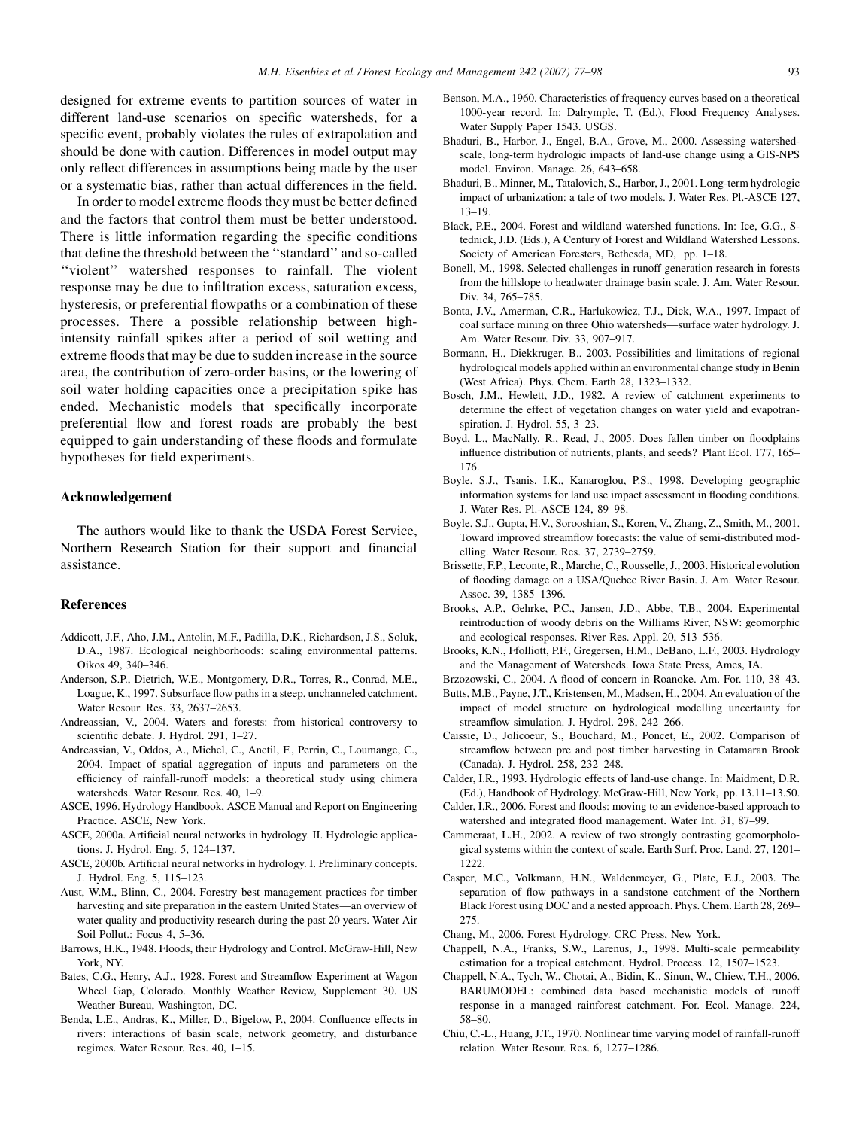<span id="page-16-0"></span>designed for extreme events to partition sources of water in different land-use scenarios on specific watersheds, for a specific event, probably violates the rules of extrapolation and should be done with caution. Differences in model output may only reflect differences in assumptions being made by the user or a systematic bias, rather than actual differences in the field.

In order to model extreme floods they must be better defined and the factors that control them must be better understood. There is little information regarding the specific conditions that define the threshold between the ''standard'' and so-called ''violent'' watershed responses to rainfall. The violent response may be due to infiltration excess, saturation excess, hysteresis, or preferential flowpaths or a combination of these processes. There a possible relationship between highintensity rainfall spikes after a period of soil wetting and extreme floods that may be due to sudden increase in the source area, the contribution of zero-order basins, or the lowering of soil water holding capacities once a precipitation spike has ended. Mechanistic models that specifically incorporate preferential flow and forest roads are probably the best equipped to gain understanding of these floods and formulate hypotheses for field experiments.

## Acknowledgement

The authors would like to thank the USDA Forest Service, Northern Research Station for their support and financial assistance.

#### References

- Addicott, J.F., Aho, J.M., Antolin, M.F., Padilla, D.K., Richardson, J.S., Soluk, D.A., 1987. Ecological neighborhoods: scaling environmental patterns. Oikos 49, 340–346.
- Anderson, S.P., Dietrich, W.E., Montgomery, D.R., Torres, R., Conrad, M.E., Loague, K., 1997. Subsurface flow paths in a steep, unchanneled catchment. Water Resour. Res. 33, 2637–2653.
- Andreassian, V., 2004. Waters and forests: from historical controversy to scientific debate. J. Hydrol. 291, 1–27.
- Andreassian, V., Oddos, A., Michel, C., Anctil, F., Perrin, C., Loumange, C., 2004. Impact of spatial aggregation of inputs and parameters on the efficiency of rainfall-runoff models: a theoretical study using chimera watersheds. Water Resour. Res. 40, 1–9.
- ASCE, 1996. Hydrology Handbook, ASCE Manual and Report on Engineering Practice. ASCE, New York.
- ASCE, 2000a. Artificial neural networks in hydrology. II. Hydrologic applications. J. Hydrol. Eng. 5, 124–137.
- ASCE, 2000b. Artificial neural networks in hydrology. I. Preliminary concepts. J. Hydrol. Eng. 5, 115–123.
- Aust, W.M., Blinn, C., 2004. Forestry best management practices for timber harvesting and site preparation in the eastern United States—an overview of water quality and productivity research during the past 20 years. Water Air Soil Pollut.: Focus 4, 5–36.
- Barrows, H.K., 1948. Floods, their Hydrology and Control. McGraw-Hill, New York, NY.
- Bates, C.G., Henry, A.J., 1928. Forest and Streamflow Experiment at Wagon Wheel Gap, Colorado. Monthly Weather Review, Supplement 30. US Weather Bureau, Washington, DC.
- Benda, L.E., Andras, K., Miller, D., Bigelow, P., 2004. Confluence effects in rivers: interactions of basin scale, network geometry, and disturbance regimes. Water Resour. Res. 40, 1–15.
- Benson, M.A., 1960. Characteristics of frequency curves based on a theoretical 1000-year record. In: Dalrymple, T. (Ed.), Flood Frequency Analyses. Water Supply Paper 1543. USGS.
- Bhaduri, B., Harbor, J., Engel, B.A., Grove, M., 2000. Assessing watershedscale, long-term hydrologic impacts of land-use change using a GIS-NPS model. Environ. Manage. 26, 643–658.
- Bhaduri, B., Minner, M., Tatalovich, S., Harbor, J., 2001. Long-term hydrologic impact of urbanization: a tale of two models. J. Water Res. Pl.-ASCE 127, 13–19.
- Black, P.E., 2004. Forest and wildland watershed functions. In: Ice, G.G., Stednick, J.D. (Eds.), A Century of Forest and Wildland Watershed Lessons. Society of American Foresters, Bethesda, MD, pp. 1–18.
- Bonell, M., 1998. Selected challenges in runoff generation research in forests from the hillslope to headwater drainage basin scale. J. Am. Water Resour. Div. 34, 765–785.
- Bonta, J.V., Amerman, C.R., Harlukowicz, T.J., Dick, W.A., 1997. Impact of coal surface mining on three Ohio watersheds—surface water hydrology. J. Am. Water Resour. Div. 33, 907–917.
- Bormann, H., Diekkruger, B., 2003. Possibilities and limitations of regional hydrological models applied within an environmental change study in Benin (West Africa). Phys. Chem. Earth 28, 1323–1332.
- Bosch, J.M., Hewlett, J.D., 1982. A review of catchment experiments to determine the effect of vegetation changes on water yield and evapotranspiration. J. Hydrol. 55, 3–23.
- Boyd, L., MacNally, R., Read, J., 2005. Does fallen timber on floodplains influence distribution of nutrients, plants, and seeds? Plant Ecol. 177, 165– 176.
- Boyle, S.J., Tsanis, I.K., Kanaroglou, P.S., 1998. Developing geographic information systems for land use impact assessment in flooding conditions. J. Water Res. Pl.-ASCE 124, 89–98.
- Boyle, S.J., Gupta, H.V., Sorooshian, S., Koren, V., Zhang, Z., Smith, M., 2001. Toward improved streamflow forecasts: the value of semi-distributed modelling. Water Resour. Res. 37, 2739–2759.
- Brissette, F.P., Leconte, R., Marche, C., Rousselle, J., 2003. Historical evolution of flooding damage on a USA/Quebec River Basin. J. Am. Water Resour. Assoc. 39, 1385–1396.
- Brooks, A.P., Gehrke, P.C., Jansen, J.D., Abbe, T.B., 2004. Experimental reintroduction of woody debris on the Williams River, NSW: geomorphic and ecological responses. River Res. Appl. 20, 513–536.
- Brooks, K.N., Ffolliott, P.F., Gregersen, H.M., DeBano, L.F., 2003. Hydrology and the Management of Watersheds. Iowa State Press, Ames, IA.
- Brzozowski, C., 2004. A flood of concern in Roanoke. Am. For. 110, 38–43.
- Butts, M.B., Payne, J.T., Kristensen, M., Madsen, H., 2004. An evaluation of the impact of model structure on hydrological modelling uncertainty for streamflow simulation. J. Hydrol. 298, 242–266.
- Caissie, D., Jolicoeur, S., Bouchard, M., Poncet, E., 2002. Comparison of streamflow between pre and post timber harvesting in Catamaran Brook (Canada). J. Hydrol. 258, 232–248.
- Calder, I.R., 1993. Hydrologic effects of land-use change. In: Maidment, D.R. (Ed.), Handbook of Hydrology. McGraw-Hill, New York, pp. 13.11–13.50.
- Calder, I.R., 2006. Forest and floods: moving to an evidence-based approach to watershed and integrated flood management. Water Int. 31, 87–99.
- Cammeraat, L.H., 2002. A review of two strongly contrasting geomorphological systems within the context of scale. Earth Surf. Proc. Land. 27, 1201– 1222.
- Casper, M.C., Volkmann, H.N., Waldenmeyer, G., Plate, E.J., 2003. The separation of flow pathways in a sandstone catchment of the Northern Black Forest using DOC and a nested approach. Phys. Chem. Earth 28, 269– 275.
- Chang, M., 2006. Forest Hydrology. CRC Press, New York.
- Chappell, N.A., Franks, S.W., Larenus, J., 1998. Multi-scale permeability estimation for a tropical catchment. Hydrol. Process. 12, 1507–1523.
- Chappell, N.A., Tych, W., Chotai, A., Bidin, K., Sinun, W., Chiew, T.H., 2006. BARUMODEL: combined data based mechanistic models of runoff response in a managed rainforest catchment. For. Ecol. Manage. 224, 58–80.
- Chiu, C.-L., Huang, J.T., 1970. Nonlinear time varying model of rainfall-runoff relation. Water Resour. Res. 6, 1277–1286.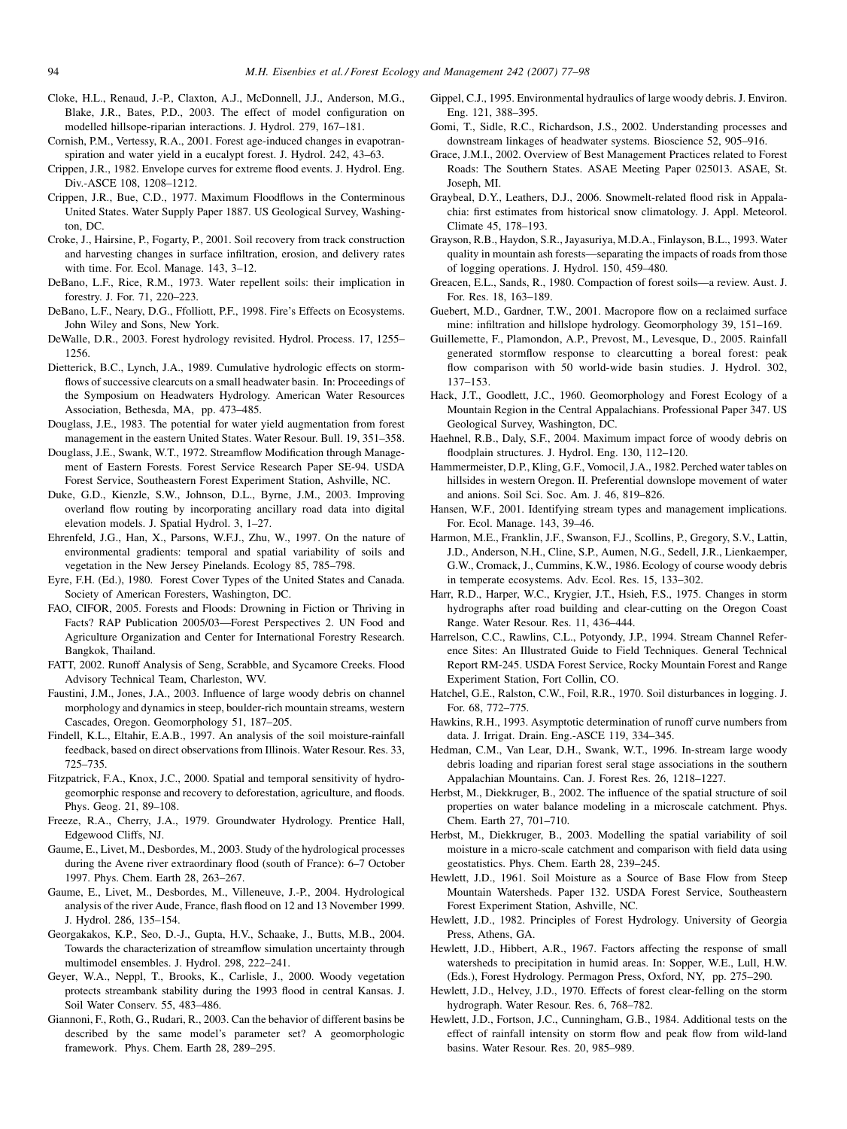- <span id="page-17-0"></span>Cloke, H.L., Renaud, J.-P., Claxton, A.J., McDonnell, J.J., Anderson, M.G., Blake, J.R., Bates, P.D., 2003. The effect of model configuration on modelled hillsope-riparian interactions. J. Hydrol. 279, 167–181.
- Cornish, P.M., Vertessy, R.A., 2001. Forest age-induced changes in evapotranspiration and water yield in a eucalypt forest. J. Hydrol. 242, 43–63.
- Crippen, J.R., 1982. Envelope curves for extreme flood events. J. Hydrol. Eng. Div.-ASCE 108, 1208–1212.
- Crippen, J.R., Bue, C.D., 1977. Maximum Floodflows in the Conterminous United States. Water Supply Paper 1887. US Geological Survey, Washington, DC.
- Croke, J., Hairsine, P., Fogarty, P., 2001. Soil recovery from track construction and harvesting changes in surface infiltration, erosion, and delivery rates with time. For. Ecol. Manage. 143, 3–12.
- DeBano, L.F., Rice, R.M., 1973. Water repellent soils: their implication in forestry. J. For. 71, 220–223.
- DeBano, L.F., Neary, D.G., Ffolliott, P.F., 1998. Fire's Effects on Ecosystems. John Wiley and Sons, New York.
- DeWalle, D.R., 2003. Forest hydrology revisited. Hydrol. Process. 17, 1255– 1256.
- Dietterick, B.C., Lynch, J.A., 1989. Cumulative hydrologic effects on stormflows of successive clearcuts on a small headwater basin. In: Proceedings of the Symposium on Headwaters Hydrology. American Water Resources Association, Bethesda, MA, pp. 473–485.
- Douglass, J.E., 1983. The potential for water yield augmentation from forest management in the eastern United States. Water Resour. Bull. 19, 351–358.
- Douglass, J.E., Swank, W.T., 1972. Streamflow Modification through Management of Eastern Forests. Forest Service Research Paper SE-94. USDA Forest Service, Southeastern Forest Experiment Station, Ashville, NC.
- Duke, G.D., Kienzle, S.W., Johnson, D.L., Byrne, J.M., 2003. Improving overland flow routing by incorporating ancillary road data into digital elevation models. J. Spatial Hydrol. 3, 1–27.
- Ehrenfeld, J.G., Han, X., Parsons, W.F.J., Zhu, W., 1997. On the nature of environmental gradients: temporal and spatial variability of soils and vegetation in the New Jersey Pinelands. Ecology 85, 785–798.
- Eyre, F.H. (Ed.), 1980. Forest Cover Types of the United States and Canada. Society of American Foresters, Washington, DC.
- FAO, CIFOR, 2005. Forests and Floods: Drowning in Fiction or Thriving in Facts? RAP Publication 2005/03—Forest Perspectives 2. UN Food and Agriculture Organization and Center for International Forestry Research. Bangkok, Thailand.
- FATT, 2002. Runoff Analysis of Seng, Scrabble, and Sycamore Creeks. Flood Advisory Technical Team, Charleston, WV.
- Faustini, J.M., Jones, J.A., 2003. Influence of large woody debris on channel morphology and dynamics in steep, boulder-rich mountain streams, western Cascades, Oregon. Geomorphology 51, 187–205.
- Findell, K.L., Eltahir, E.A.B., 1997. An analysis of the soil moisture-rainfall feedback, based on direct observations from Illinois. Water Resour. Res. 33, 725–735.
- Fitzpatrick, F.A., Knox, J.C., 2000. Spatial and temporal sensitivity of hydrogeomorphic response and recovery to deforestation, agriculture, and floods. Phys. Geog. 21, 89–108.
- Freeze, R.A., Cherry, J.A., 1979. Groundwater Hydrology. Prentice Hall, Edgewood Cliffs, NJ.
- Gaume, E., Livet, M., Desbordes, M., 2003. Study of the hydrological processes during the Avene river extraordinary flood (south of France): 6–7 October 1997. Phys. Chem. Earth 28, 263–267.
- Gaume, E., Livet, M., Desbordes, M., Villeneuve, J.-P., 2004. Hydrological analysis of the river Aude, France, flash flood on 12 and 13 November 1999. J. Hydrol. 286, 135–154.
- Georgakakos, K.P., Seo, D.-J., Gupta, H.V., Schaake, J., Butts, M.B., 2004. Towards the characterization of streamflow simulation uncertainty through multimodel ensembles. J. Hydrol. 298, 222–241.
- Geyer, W.A., Neppl, T., Brooks, K., Carlisle, J., 2000. Woody vegetation protects streambank stability during the 1993 flood in central Kansas. J. Soil Water Conserv. 55, 483–486.
- Giannoni, F., Roth, G., Rudari, R., 2003. Can the behavior of different basins be described by the same model's parameter set? A geomorphologic framework. Phys. Chem. Earth 28, 289–295.
- Gippel, C.J., 1995. Environmental hydraulics of large woody debris. J. Environ. Eng. 121, 388–395.
- Gomi, T., Sidle, R.C., Richardson, J.S., 2002. Understanding processes and downstream linkages of headwater systems. Bioscience 52, 905–916.
- Grace, J.M.I., 2002. Overview of Best Management Practices related to Forest Roads: The Southern States. ASAE Meeting Paper 025013. ASAE, St. Joseph, MI.
- Graybeal, D.Y., Leathers, D.J., 2006. Snowmelt-related flood risk in Appalachia: first estimates from historical snow climatology. J. Appl. Meteorol. Climate 45, 178–193.
- Grayson, R.B., Haydon, S.R., Jayasuriya, M.D.A., Finlayson, B.L., 1993. Water quality in mountain ash forests—separating the impacts of roads from those of logging operations. J. Hydrol. 150, 459–480.
- Greacen, E.L., Sands, R., 1980. Compaction of forest soils—a review. Aust. J. For. Res. 18, 163–189.
- Guebert, M.D., Gardner, T.W., 2001. Macropore flow on a reclaimed surface mine: infiltration and hillslope hydrology. Geomorphology 39, 151–169.
- Guillemette, F., Plamondon, A.P., Prevost, M., Levesque, D., 2005. Rainfall generated stormflow response to clearcutting a boreal forest: peak flow comparison with 50 world-wide basin studies. J. Hydrol. 302, 137–153.
- Hack, J.T., Goodlett, J.C., 1960. Geomorphology and Forest Ecology of a Mountain Region in the Central Appalachians. Professional Paper 347. US Geological Survey, Washington, DC.
- Haehnel, R.B., Daly, S.F., 2004. Maximum impact force of woody debris on floodplain structures. J. Hydrol. Eng. 130, 112–120.
- Hammermeister, D.P., Kling, G.F., Vomocil, J.A., 1982. Perched water tables on hillsides in western Oregon. II. Preferential downslope movement of water and anions. Soil Sci. Soc. Am. J. 46, 819–826.
- Hansen, W.F., 2001. Identifying stream types and management implications. For. Ecol. Manage. 143, 39–46.
- Harmon, M.E., Franklin, J.F., Swanson, F.J., Scollins, P., Gregory, S.V., Lattin, J.D., Anderson, N.H., Cline, S.P., Aumen, N.G., Sedell, J.R., Lienkaemper, G.W., Cromack, J., Cummins, K.W., 1986. Ecology of course woody debris in temperate ecosystems. Adv. Ecol. Res. 15, 133–302.
- Harr, R.D., Harper, W.C., Krygier, J.T., Hsieh, F.S., 1975. Changes in storm hydrographs after road building and clear-cutting on the Oregon Coast Range. Water Resour. Res. 11, 436–444.
- Harrelson, C.C., Rawlins, C.L., Potyondy, J.P., 1994. Stream Channel Reference Sites: An Illustrated Guide to Field Techniques. General Technical Report RM-245. USDA Forest Service, Rocky Mountain Forest and Range Experiment Station, Fort Collin, CO.
- Hatchel, G.E., Ralston, C.W., Foil, R.R., 1970. Soil disturbances in logging. J. For. 68, 772–775.
- Hawkins, R.H., 1993. Asymptotic determination of runoff curve numbers from data. J. Irrigat. Drain. Eng.-ASCE 119, 334–345.
- Hedman, C.M., Van Lear, D.H., Swank, W.T., 1996. In-stream large woody debris loading and riparian forest seral stage associations in the southern Appalachian Mountains. Can. J. Forest Res. 26, 1218–1227.
- Herbst, M., Diekkruger, B., 2002. The influence of the spatial structure of soil properties on water balance modeling in a microscale catchment. Phys. Chem. Earth 27, 701–710.
- Herbst, M., Diekkruger, B., 2003. Modelling the spatial variability of soil moisture in a micro-scale catchment and comparison with field data using geostatistics. Phys. Chem. Earth 28, 239–245.
- Hewlett, J.D., 1961. Soil Moisture as a Source of Base Flow from Steep Mountain Watersheds. Paper 132. USDA Forest Service, Southeastern Forest Experiment Station, Ashville, NC.
- Hewlett, J.D., 1982. Principles of Forest Hydrology. University of Georgia Press, Athens, GA.
- Hewlett, J.D., Hibbert, A.R., 1967. Factors affecting the response of small watersheds to precipitation in humid areas. In: Sopper, W.E., Lull, H.W. (Eds.), Forest Hydrology. Permagon Press, Oxford, NY, pp. 275–290.
- Hewlett, J.D., Helvey, J.D., 1970. Effects of forest clear-felling on the storm hydrograph. Water Resour. Res. 6, 768–782.
- Hewlett, J.D., Fortson, J.C., Cunningham, G.B., 1984. Additional tests on the effect of rainfall intensity on storm flow and peak flow from wild-land basins. Water Resour. Res. 20, 985–989.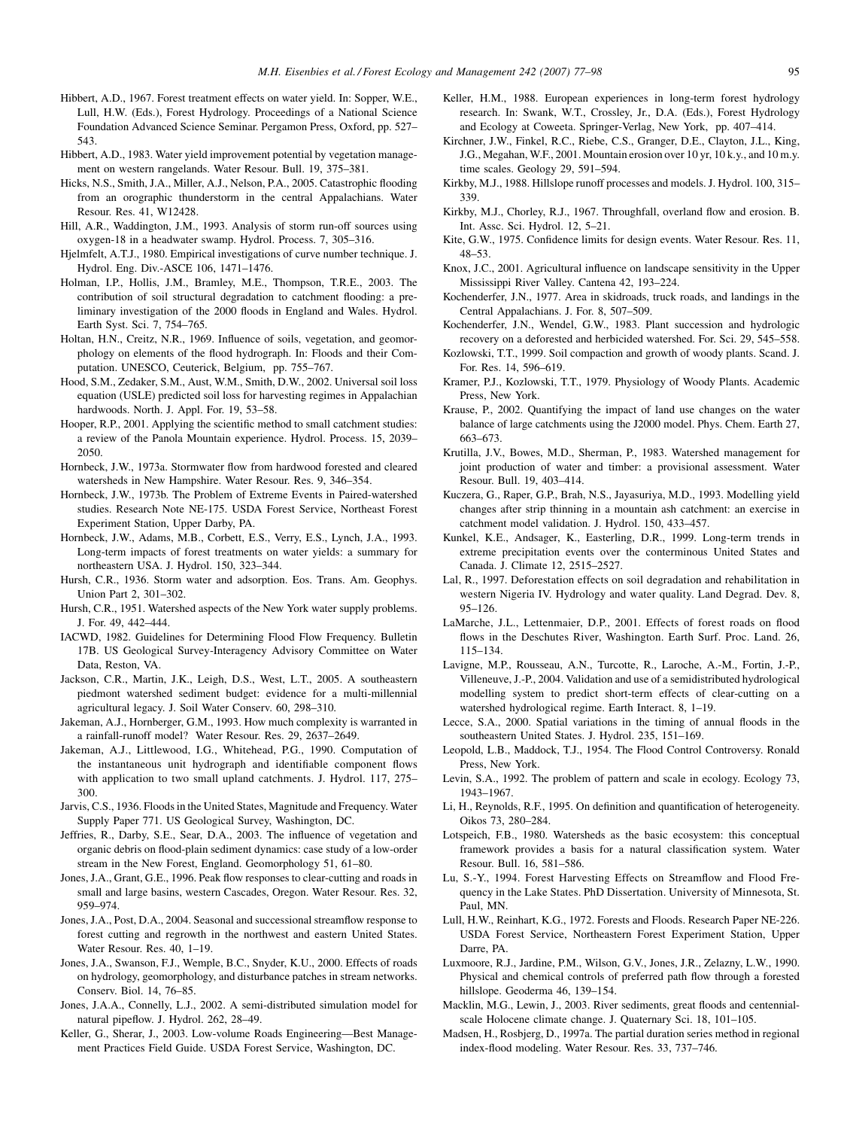- <span id="page-18-0"></span>Hibbert, A.D., 1967. Forest treatment effects on water yield. In: Sopper, W.E., Lull, H.W. (Eds.), Forest Hydrology. Proceedings of a National Science Foundation Advanced Science Seminar. Pergamon Press, Oxford, pp. 527– 543.
- Hibbert, A.D., 1983. Water yield improvement potential by vegetation management on western rangelands. Water Resour. Bull. 19, 375–381.
- Hicks, N.S., Smith, J.A., Miller, A.J., Nelson, P.A., 2005. Catastrophic flooding from an orographic thunderstorm in the central Appalachians. Water Resour. Res. 41, W12428.
- Hill, A.R., Waddington, J.M., 1993. Analysis of storm run-off sources using oxygen-18 in a headwater swamp. Hydrol. Process. 7, 305–316.
- Hjelmfelt, A.T.J., 1980. Empirical investigations of curve number technique. J. Hydrol. Eng. Div.-ASCE 106, 1471–1476.
- Holman, I.P., Hollis, J.M., Bramley, M.E., Thompson, T.R.E., 2003. The contribution of soil structural degradation to catchment flooding: a preliminary investigation of the 2000 floods in England and Wales. Hydrol. Earth Syst. Sci. 7, 754–765.
- Holtan, H.N., Creitz, N.R., 1969. Influence of soils, vegetation, and geomorphology on elements of the flood hydrograph. In: Floods and their Computation. UNESCO, Ceuterick, Belgium, pp. 755–767.
- Hood, S.M., Zedaker, S.M., Aust, W.M., Smith, D.W., 2002. Universal soil loss equation (USLE) predicted soil loss for harvesting regimes in Appalachian hardwoods. North. J. Appl. For. 19, 53–58.
- Hooper, R.P., 2001. Applying the scientific method to small catchment studies: a review of the Panola Mountain experience. Hydrol. Process. 15, 2039– 2050.
- Hornbeck, J.W., 1973a. Stormwater flow from hardwood forested and cleared watersheds in New Hampshire. Water Resour. Res. 9, 346–354.
- Hornbeck, J.W., 1973b. The Problem of Extreme Events in Paired-watershed studies. Research Note NE-175. USDA Forest Service, Northeast Forest Experiment Station, Upper Darby, PA.
- Hornbeck, J.W., Adams, M.B., Corbett, E.S., Verry, E.S., Lynch, J.A., 1993. Long-term impacts of forest treatments on water yields: a summary for northeastern USA. J. Hydrol. 150, 323–344.
- Hursh, C.R., 1936. Storm water and adsorption. Eos. Trans. Am. Geophys. Union Part 2, 301–302.
- Hursh, C.R., 1951. Watershed aspects of the New York water supply problems. J. For. 49, 442–444.
- IACWD, 1982. Guidelines for Determining Flood Flow Frequency. Bulletin 17B. US Geological Survey-Interagency Advisory Committee on Water Data, Reston, VA.
- Jackson, C.R., Martin, J.K., Leigh, D.S., West, L.T., 2005. A southeastern piedmont watershed sediment budget: evidence for a multi-millennial agricultural legacy. J. Soil Water Conserv. 60, 298–310.
- Jakeman, A.J., Hornberger, G.M., 1993. How much complexity is warranted in a rainfall-runoff model? Water Resour. Res. 29, 2637–2649.
- Jakeman, A.J., Littlewood, I.G., Whitehead, P.G., 1990. Computation of the instantaneous unit hydrograph and identifiable component flows with application to two small upland catchments. J. Hydrol. 117, 275– 300.
- Jarvis, C.S., 1936. Floods in the United States, Magnitude and Frequency. Water Supply Paper 771. US Geological Survey, Washington, DC.
- Jeffries, R., Darby, S.E., Sear, D.A., 2003. The influence of vegetation and organic debris on flood-plain sediment dynamics: case study of a low-order stream in the New Forest, England. Geomorphology 51, 61–80.
- Jones, J.A., Grant, G.E., 1996. Peak flow responses to clear-cutting and roads in small and large basins, western Cascades, Oregon. Water Resour. Res. 32, 959–974.
- Jones, J.A., Post, D.A., 2004. Seasonal and successional streamflow response to forest cutting and regrowth in the northwest and eastern United States. Water Resour. Res. 40, 1–19.
- Jones, J.A., Swanson, F.J., Wemple, B.C., Snyder, K.U., 2000. Effects of roads on hydrology, geomorphology, and disturbance patches in stream networks. Conserv. Biol. 14, 76–85.
- Jones, J.A.A., Connelly, L.J., 2002. A semi-distributed simulation model for natural pipeflow. J. Hydrol. 262, 28–49.
- Keller, G., Sherar, J., 2003. Low-volume Roads Engineering—Best Management Practices Field Guide. USDA Forest Service, Washington, DC.
- Keller, H.M., 1988. European experiences in long-term forest hydrology research. In: Swank, W.T., Crossley, Jr., D.A. (Eds.), Forest Hydrology and Ecology at Coweeta. Springer-Verlag, New York, pp. 407–414.
- Kirchner, J.W., Finkel, R.C., Riebe, C.S., Granger, D.E., Clayton, J.L., King, J.G., Megahan, W.F., 2001. Mountain erosion over 10 yr, 10 k.y., and 10 m.y. time scales. Geology 29, 591–594.
- Kirkby, M.J., 1988. Hillslope runoff processes and models. J. Hydrol. 100, 315– 339.
- Kirkby, M.J., Chorley, R.J., 1967. Throughfall, overland flow and erosion. B. Int. Assc. Sci. Hydrol. 12, 5–21.
- Kite, G.W., 1975. Confidence limits for design events. Water Resour. Res. 11, 48–53.
- Knox, J.C., 2001. Agricultural influence on landscape sensitivity in the Upper Mississippi River Valley. Cantena 42, 193–224.
- Kochenderfer, J.N., 1977. Area in skidroads, truck roads, and landings in the Central Appalachians. J. For. 8, 507–509.
- Kochenderfer, J.N., Wendel, G.W., 1983. Plant succession and hydrologic recovery on a deforested and herbicided watershed. For. Sci. 29, 545–558.
- Kozlowski, T.T., 1999. Soil compaction and growth of woody plants. Scand. J. For. Res. 14, 596–619.
- Kramer, P.J., Kozlowski, T.T., 1979. Physiology of Woody Plants. Academic Press, New York.
- Krause, P., 2002. Quantifying the impact of land use changes on the water balance of large catchments using the J2000 model. Phys. Chem. Earth 27, 663–673.
- Krutilla, J.V., Bowes, M.D., Sherman, P., 1983. Watershed management for joint production of water and timber: a provisional assessment. Water Resour. Bull. 19, 403–414.
- Kuczera, G., Raper, G.P., Brah, N.S., Jayasuriya, M.D., 1993. Modelling yield changes after strip thinning in a mountain ash catchment: an exercise in catchment model validation. J. Hydrol. 150, 433–457.
- Kunkel, K.E., Andsager, K., Easterling, D.R., 1999. Long-term trends in extreme precipitation events over the conterminous United States and Canada. J. Climate 12, 2515–2527.
- Lal, R., 1997. Deforestation effects on soil degradation and rehabilitation in western Nigeria IV. Hydrology and water quality. Land Degrad. Dev. 8, 95–126.
- LaMarche, J.L., Lettenmaier, D.P., 2001. Effects of forest roads on flood flows in the Deschutes River, Washington. Earth Surf. Proc. Land. 26, 115–134.
- Lavigne, M.P., Rousseau, A.N., Turcotte, R., Laroche, A.-M., Fortin, J.-P., Villeneuve, J.-P., 2004. Validation and use of a semidistributed hydrological modelling system to predict short-term effects of clear-cutting on a watershed hydrological regime. Earth Interact. 8, 1–19.
- Lecce, S.A., 2000. Spatial variations in the timing of annual floods in the southeastern United States. J. Hydrol. 235, 151–169.
- Leopold, L.B., Maddock, T.J., 1954. The Flood Control Controversy. Ronald Press, New York.
- Levin, S.A., 1992. The problem of pattern and scale in ecology. Ecology 73, 1943–1967.
- Li, H., Reynolds, R.F., 1995. On definition and quantification of heterogeneity. Oikos 73, 280–284.
- Lotspeich, F.B., 1980. Watersheds as the basic ecosystem: this conceptual framework provides a basis for a natural classification system. Water Resour. Bull. 16, 581–586.
- Lu, S.-Y., 1994. Forest Harvesting Effects on Streamflow and Flood Frequency in the Lake States. PhD Dissertation. University of Minnesota, St. Paul, MN.
- Lull, H.W., Reinhart, K.G., 1972. Forests and Floods. Research Paper NE-226. USDA Forest Service, Northeastern Forest Experiment Station, Upper Darre, PA.
- Luxmoore, R.J., Jardine, P.M., Wilson, G.V., Jones, J.R., Zelazny, L.W., 1990. Physical and chemical controls of preferred path flow through a forested hillslope. Geoderma 46, 139–154.
- Macklin, M.G., Lewin, J., 2003. River sediments, great floods and centennialscale Holocene climate change. J. Quaternary Sci. 18, 101–105.
- Madsen, H., Rosbjerg, D., 1997a. The partial duration series method in regional index-flood modeling. Water Resour. Res. 33, 737–746.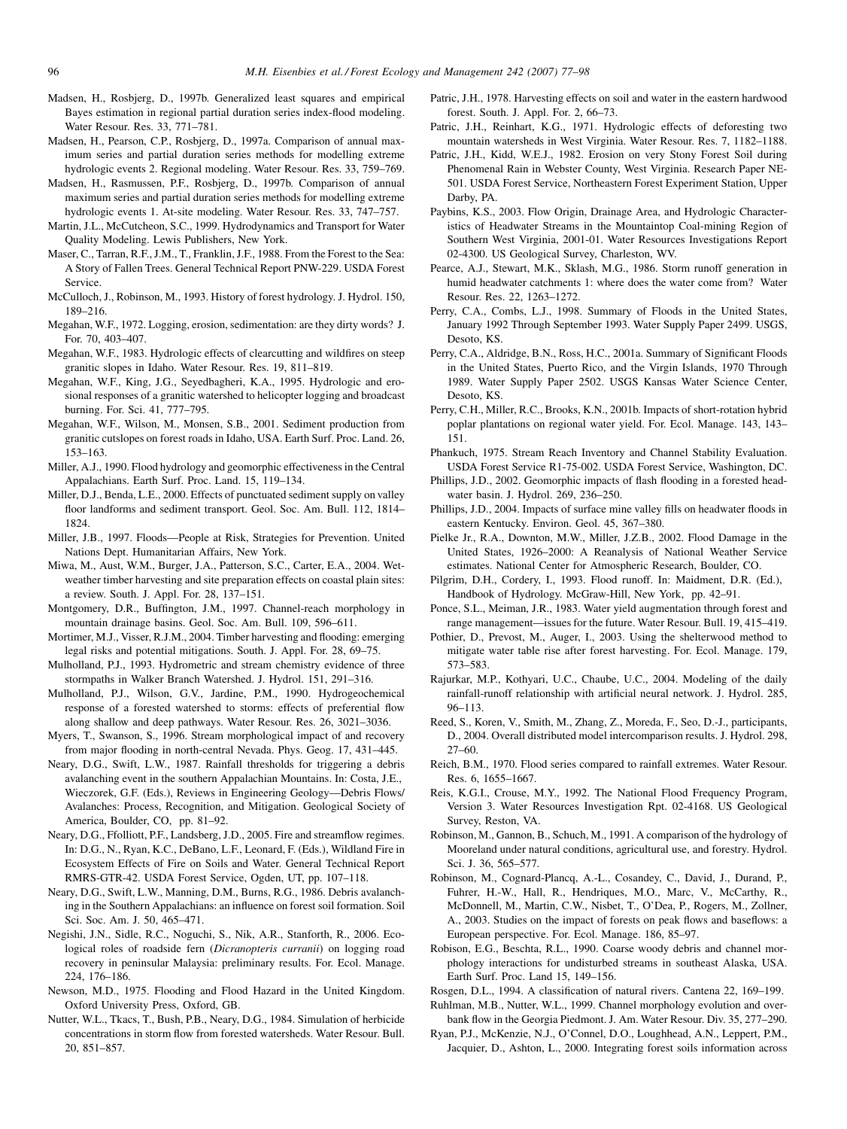- <span id="page-19-0"></span>Madsen, H., Rosbjerg, D., 1997b. Generalized least squares and empirical Bayes estimation in regional partial duration series index-flood modeling. Water Resour. Res. 33, 771–781.
- Madsen, H., Pearson, C.P., Rosbjerg, D., 1997a. Comparison of annual maximum series and partial duration series methods for modelling extreme hydrologic events 2. Regional modeling. Water Resour. Res. 33, 759–769.
- Madsen, H., Rasmussen, P.F., Rosbjerg, D., 1997b. Comparison of annual maximum series and partial duration series methods for modelling extreme hydrologic events 1. At-site modeling. Water Resour. Res. 33, 747–757.
- Martin, J.L., McCutcheon, S.C., 1999. Hydrodynamics and Transport for Water Quality Modeling. Lewis Publishers, New York.
- Maser, C., Tarran, R.F., J.M., T., Franklin, J.F., 1988. From the Forest to the Sea: A Story of Fallen Trees. General Technical Report PNW-229. USDA Forest Service.
- McCulloch, J., Robinson, M., 1993. History of forest hydrology. J. Hydrol. 150, 189–216.
- Megahan, W.F., 1972. Logging, erosion, sedimentation: are they dirty words? J. For. 70, 403–407.
- Megahan, W.F., 1983. Hydrologic effects of clearcutting and wildfires on steep granitic slopes in Idaho. Water Resour. Res. 19, 811–819.
- Megahan, W.F., King, J.G., Seyedbagheri, K.A., 1995. Hydrologic and erosional responses of a granitic watershed to helicopter logging and broadcast burning. For. Sci. 41, 777–795.
- Megahan, W.F., Wilson, M., Monsen, S.B., 2001. Sediment production from granitic cutslopes on forest roads in Idaho, USA. Earth Surf. Proc. Land. 26, 153–163.
- Miller, A.J., 1990. Flood hydrology and geomorphic effectiveness in the Central Appalachians. Earth Surf. Proc. Land. 15, 119–134.
- Miller, D.J., Benda, L.E., 2000. Effects of punctuated sediment supply on valley floor landforms and sediment transport. Geol. Soc. Am. Bull. 112, 1814– 1824.
- Miller, J.B., 1997. Floods—People at Risk, Strategies for Prevention. United Nations Dept. Humanitarian Affairs, New York.
- Miwa, M., Aust, W.M., Burger, J.A., Patterson, S.C., Carter, E.A., 2004. Wetweather timber harvesting and site preparation effects on coastal plain sites: a review. South. J. Appl. For. 28, 137–151.
- Montgomery, D.R., Buffington, J.M., 1997. Channel-reach morphology in mountain drainage basins. Geol. Soc. Am. Bull. 109, 596–611.
- Mortimer, M.J., Visser, R.J.M., 2004. Timber harvesting and flooding: emerging legal risks and potential mitigations. South. J. Appl. For. 28, 69–75.
- Mulholland, P.J., 1993. Hydrometric and stream chemistry evidence of three stormpaths in Walker Branch Watershed. J. Hydrol. 151, 291–316.
- Mulholland, P.J., Wilson, G.V., Jardine, P.M., 1990. Hydrogeochemical response of a forested watershed to storms: effects of preferential flow along shallow and deep pathways. Water Resour. Res. 26, 3021–3036.
- Myers, T., Swanson, S., 1996. Stream morphological impact of and recovery from major flooding in north-central Nevada. Phys. Geog. 17, 431–445.
- Neary, D.G., Swift, L.W., 1987. Rainfall thresholds for triggering a debris avalanching event in the southern Appalachian Mountains. In: Costa, J.E., Wieczorek, G.F. (Eds.), Reviews in Engineering Geology—Debris Flows/ Avalanches: Process, Recognition, and Mitigation. Geological Society of America, Boulder, CO, pp. 81–92.
- Neary, D.G., Ffolliott, P.F., Landsberg, J.D., 2005. Fire and streamflow regimes. In: D.G., N., Ryan, K.C., DeBano, L.F., Leonard, F. (Eds.), Wildland Fire in Ecosystem Effects of Fire on Soils and Water. General Technical Report RMRS-GTR-42. USDA Forest Service, Ogden, UT, pp. 107–118.
- Neary, D.G., Swift, L.W., Manning, D.M., Burns, R.G., 1986. Debris avalanching in the Southern Appalachians: an influence on forest soil formation. Soil Sci. Soc. Am. J. 50, 465–471.
- Negishi, J.N., Sidle, R.C., Noguchi, S., Nik, A.R., Stanforth, R., 2006. Ecological roles of roadside fern (Dicranopteris curranii) on logging road recovery in peninsular Malaysia: preliminary results. For. Ecol. Manage. 224, 176–186.
- Newson, M.D., 1975. Flooding and Flood Hazard in the United Kingdom. Oxford University Press, Oxford, GB.
- Nutter, W.L., Tkacs, T., Bush, P.B., Neary, D.G., 1984. Simulation of herbicide concentrations in storm flow from forested watersheds. Water Resour. Bull. 20, 851–857.
- Patric, J.H., 1978. Harvesting effects on soil and water in the eastern hardwood forest. South. J. Appl. For. 2, 66–73.
- Patric, J.H., Reinhart, K.G., 1971. Hydrologic effects of deforesting two mountain watersheds in West Virginia. Water Resour. Res. 7, 1182–1188.
- Patric, J.H., Kidd, W.E.J., 1982. Erosion on very Stony Forest Soil during Phenomenal Rain in Webster County, West Virginia. Research Paper NE-501. USDA Forest Service, Northeastern Forest Experiment Station, Upper Darby, PA.
- Paybins, K.S., 2003. Flow Origin, Drainage Area, and Hydrologic Characteristics of Headwater Streams in the Mountaintop Coal-mining Region of Southern West Virginia, 2001-01. Water Resources Investigations Report 02-4300. US Geological Survey, Charleston, WV.
- Pearce, A.J., Stewart, M.K., Sklash, M.G., 1986. Storm runoff generation in humid headwater catchments 1: where does the water come from? Water Resour. Res. 22, 1263–1272.
- Perry, C.A., Combs, L.J., 1998. Summary of Floods in the United States, January 1992 Through September 1993. Water Supply Paper 2499. USGS, Desoto, KS.
- Perry, C.A., Aldridge, B.N., Ross, H.C., 2001a. Summary of Significant Floods in the United States, Puerto Rico, and the Virgin Islands, 1970 Through 1989. Water Supply Paper 2502. USGS Kansas Water Science Center, Desoto, KS.
- Perry, C.H., Miller, R.C., Brooks, K.N., 2001b. Impacts of short-rotation hybrid poplar plantations on regional water yield. For. Ecol. Manage. 143, 143– 151.
- Phankuch, 1975. Stream Reach Inventory and Channel Stability Evaluation. USDA Forest Service R1-75-002. USDA Forest Service, Washington, DC.
- Phillips, J.D., 2002. Geomorphic impacts of flash flooding in a forested headwater basin. J. Hydrol. 269, 236–250.
- Phillips, J.D., 2004. Impacts of surface mine valley fills on headwater floods in eastern Kentucky. Environ. Geol. 45, 367–380.
- Pielke Jr., R.A., Downton, M.W., Miller, J.Z.B., 2002. Flood Damage in the United States, 1926–2000: A Reanalysis of National Weather Service estimates. National Center for Atmospheric Research, Boulder, CO.
- Pilgrim, D.H., Cordery, I., 1993. Flood runoff. In: Maidment, D.R. (Ed.), Handbook of Hydrology. McGraw-Hill, New York, pp. 42–91.
- Ponce, S.L., Meiman, J.R., 1983. Water yield augmentation through forest and range management—issues for the future. Water Resour. Bull. 19, 415–419.
- Pothier, D., Prevost, M., Auger, I., 2003. Using the shelterwood method to mitigate water table rise after forest harvesting. For. Ecol. Manage. 179, 573–583.
- Rajurkar, M.P., Kothyari, U.C., Chaube, U.C., 2004. Modeling of the daily rainfall-runoff relationship with artificial neural network. J. Hydrol. 285, 96–113.
- Reed, S., Koren, V., Smith, M., Zhang, Z., Moreda, F., Seo, D.-J., participants, D., 2004. Overall distributed model intercomparison results. J. Hydrol. 298, 27–60.
- Reich, B.M., 1970. Flood series compared to rainfall extremes. Water Resour. Res. 6, 1655–1667.
- Reis, K.G.I., Crouse, M.Y., 1992. The National Flood Frequency Program, Version 3. Water Resources Investigation Rpt. 02-4168. US Geological Survey, Reston, VA.
- Robinson, M., Gannon, B., Schuch, M., 1991. A comparison of the hydrology of Mooreland under natural conditions, agricultural use, and forestry. Hydrol. Sci. J. 36, 565–577.
- Robinson, M., Cognard-Plancq, A.-L., Cosandey, C., David, J., Durand, P., Fuhrer, H.-W., Hall, R., Hendriques, M.O., Marc, V., McCarthy, R., McDonnell, M., Martin, C.W., Nisbet, T., O'Dea, P., Rogers, M., Zollner, A., 2003. Studies on the impact of forests on peak flows and baseflows: a European perspective. For. Ecol. Manage. 186, 85–97.
- Robison, E.G., Beschta, R.L., 1990. Coarse woody debris and channel morphology interactions for undisturbed streams in southeast Alaska, USA. Earth Surf. Proc. Land 15, 149–156.
- Rosgen, D.L., 1994. A classification of natural rivers. Cantena 22, 169–199.
- Ruhlman, M.B., Nutter, W.L., 1999. Channel morphology evolution and overbank flow in the Georgia Piedmont. J. Am. Water Resour. Div. 35, 277–290.
- Ryan, P.J., McKenzie, N.J., O'Connel, D.O., Loughhead, A.N., Leppert, P.M., Jacquier, D., Ashton, L., 2000. Integrating forest soils information across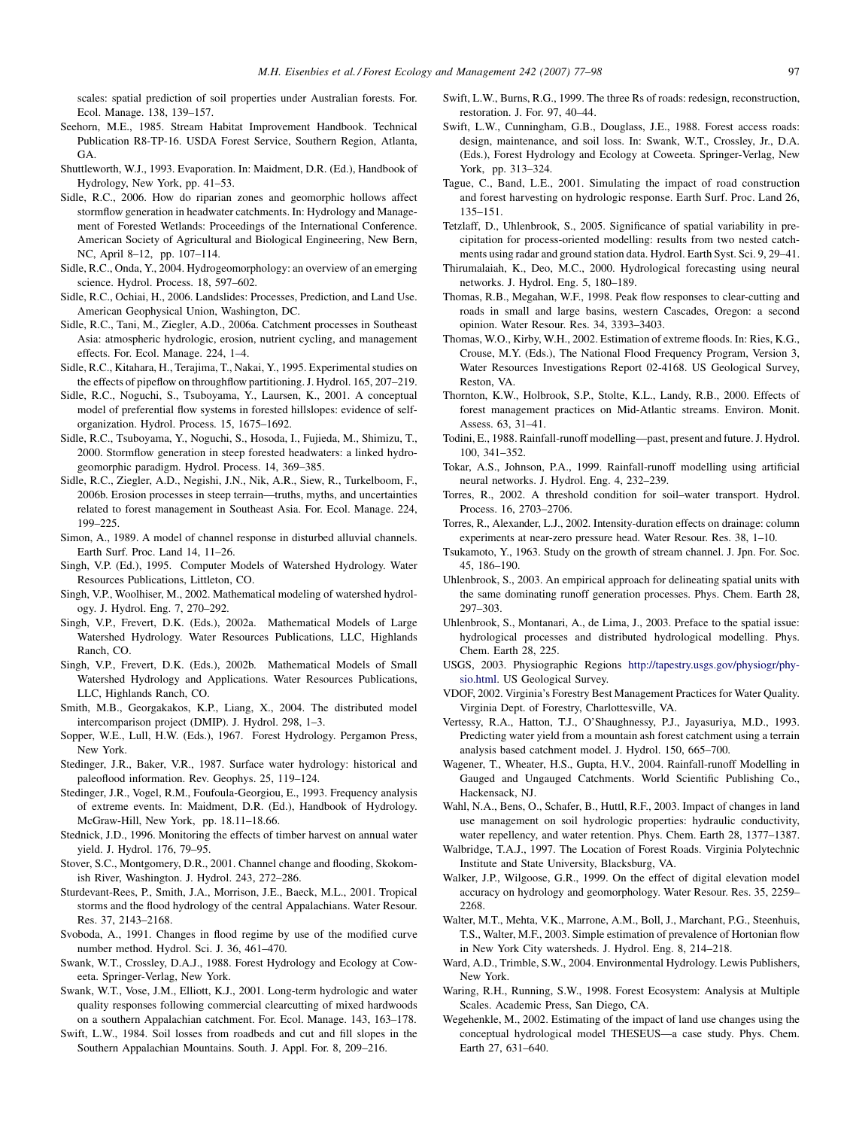<span id="page-20-0"></span>scales: spatial prediction of soil properties under Australian forests. For. Ecol. Manage. 138, 139–157.

- Seehorn, M.E., 1985. Stream Habitat Improvement Handbook. Technical Publication R8-TP-16. USDA Forest Service, Southern Region, Atlanta, GA.
- Shuttleworth, W.J., 1993. Evaporation. In: Maidment, D.R. (Ed.), Handbook of Hydrology, New York, pp. 41–53.
- Sidle, R.C., 2006. How do riparian zones and geomorphic hollows affect stormflow generation in headwater catchments. In: Hydrology and Management of Forested Wetlands: Proceedings of the International Conference. American Society of Agricultural and Biological Engineering, New Bern, NC, April 8–12, pp. 107–114.
- Sidle, R.C., Onda, Y., 2004. Hydrogeomorphology: an overview of an emerging science. Hydrol. Process. 18, 597–602.
- Sidle, R.C., Ochiai, H., 2006. Landslides: Processes, Prediction, and Land Use. American Geophysical Union, Washington, DC.
- Sidle, R.C., Tani, M., Ziegler, A.D., 2006a. Catchment processes in Southeast Asia: atmospheric hydrologic, erosion, nutrient cycling, and management effects. For. Ecol. Manage. 224, 1–4.
- Sidle, R.C., Kitahara, H., Terajima, T., Nakai, Y., 1995. Experimental studies on the effects of pipeflow on throughflow partitioning. J. Hydrol. 165, 207–219.
- Sidle, R.C., Noguchi, S., Tsuboyama, Y., Laursen, K., 2001. A conceptual model of preferential flow systems in forested hillslopes: evidence of selforganization. Hydrol. Process. 15, 1675–1692.
- Sidle, R.C., Tsuboyama, Y., Noguchi, S., Hosoda, I., Fujieda, M., Shimizu, T., 2000. Stormflow generation in steep forested headwaters: a linked hydrogeomorphic paradigm. Hydrol. Process. 14, 369–385.
- Sidle, R.C., Ziegler, A.D., Negishi, J.N., Nik, A.R., Siew, R., Turkelboom, F., 2006b. Erosion processes in steep terrain—truths, myths, and uncertainties related to forest management in Southeast Asia. For. Ecol. Manage. 224, 199–225.
- Simon, A., 1989. A model of channel response in disturbed alluvial channels. Earth Surf. Proc. Land 14, 11–26.
- Singh, V.P. (Ed.), 1995. Computer Models of Watershed Hydrology. Water Resources Publications, Littleton, CO.
- Singh, V.P., Woolhiser, M., 2002. Mathematical modeling of watershed hydrology. J. Hydrol. Eng. 7, 270–292.
- Singh, V.P., Frevert, D.K. (Eds.), 2002a. Mathematical Models of Large Watershed Hydrology. Water Resources Publications, LLC, Highlands Ranch, CO.
- Singh, V.P., Frevert, D.K. (Eds.), 2002b. Mathematical Models of Small Watershed Hydrology and Applications. Water Resources Publications, LLC, Highlands Ranch, CO.
- Smith, M.B., Georgakakos, K.P., Liang, X., 2004. The distributed model intercomparison project (DMIP). J. Hydrol. 298, 1–3.
- Sopper, W.E., Lull, H.W. (Eds.), 1967. Forest Hydrology. Pergamon Press, New York.
- Stedinger, J.R., Baker, V.R., 1987. Surface water hydrology: historical and paleoflood information. Rev. Geophys. 25, 119–124.
- Stedinger, J.R., Vogel, R.M., Foufoula-Georgiou, E., 1993. Frequency analysis of extreme events. In: Maidment, D.R. (Ed.), Handbook of Hydrology. McGraw-Hill, New York, pp. 18.11–18.66.
- Stednick, J.D., 1996. Monitoring the effects of timber harvest on annual water yield. J. Hydrol. 176, 79–95.
- Stover, S.C., Montgomery, D.R., 2001. Channel change and flooding, Skokomish River, Washington. J. Hydrol. 243, 272–286.
- Sturdevant-Rees, P., Smith, J.A., Morrison, J.E., Baeck, M.L., 2001. Tropical storms and the flood hydrology of the central Appalachians. Water Resour. Res. 37, 2143–2168.
- Svoboda, A., 1991. Changes in flood regime by use of the modified curve number method. Hydrol. Sci. J. 36, 461–470.
- Swank, W.T., Crossley, D.A.J., 1988. Forest Hydrology and Ecology at Coweeta. Springer-Verlag, New York.
- Swank, W.T., Vose, J.M., Elliott, K.J., 2001. Long-term hydrologic and water quality responses following commercial clearcutting of mixed hardwoods on a southern Appalachian catchment. For. Ecol. Manage. 143, 163–178.
- Swift, L.W., 1984. Soil losses from roadbeds and cut and fill slopes in the Southern Appalachian Mountains. South. J. Appl. For. 8, 209–216.
- Swift, L.W., Burns, R.G., 1999. The three Rs of roads: redesign, reconstruction, restoration. J. For. 97, 40–44.
- Swift, L.W., Cunningham, G.B., Douglass, J.E., 1988. Forest access roads: design, maintenance, and soil loss. In: Swank, W.T., Crossley, Jr., D.A. (Eds.), Forest Hydrology and Ecology at Coweeta. Springer-Verlag, New York, pp. 313–324.
- Tague, C., Band, L.E., 2001. Simulating the impact of road construction and forest harvesting on hydrologic response. Earth Surf. Proc. Land 26, 135–151.
- Tetzlaff, D., Uhlenbrook, S., 2005. Significance of spatial variability in precipitation for process-oriented modelling: results from two nested catchments using radar and ground station data. Hydrol. Earth Syst. Sci. 9, 29–41.
- Thirumalaiah, K., Deo, M.C., 2000. Hydrological forecasting using neural networks. J. Hydrol. Eng. 5, 180–189.
- Thomas, R.B., Megahan, W.F., 1998. Peak flow responses to clear-cutting and roads in small and large basins, western Cascades, Oregon: a second opinion. Water Resour. Res. 34, 3393–3403.
- Thomas, W.O., Kirby, W.H., 2002. Estimation of extreme floods. In: Ries, K.G., Crouse, M.Y. (Eds.), The National Flood Frequency Program, Version 3, Water Resources Investigations Report 02-4168. US Geological Survey, Reston, VA.
- Thornton, K.W., Holbrook, S.P., Stolte, K.L., Landy, R.B., 2000. Effects of forest management practices on Mid-Atlantic streams. Environ. Monit. Assess. 63, 31–41.
- Todini, E., 1988. Rainfall-runoff modelling—past, present and future. J. Hydrol. 100, 341–352.
- Tokar, A.S., Johnson, P.A., 1999. Rainfall-runoff modelling using artificial neural networks. J. Hydrol. Eng. 4, 232–239.
- Torres, R., 2002. A threshold condition for soil–water transport. Hydrol. Process. 16, 2703–2706.
- Torres, R., Alexander, L.J., 2002. Intensity-duration effects on drainage: column experiments at near-zero pressure head. Water Resour. Res. 38, 1–10.
- Tsukamoto, Y., 1963. Study on the growth of stream channel. J. Jpn. For. Soc. 45, 186–190.
- Uhlenbrook, S., 2003. An empirical approach for delineating spatial units with the same dominating runoff generation processes. Phys. Chem. Earth 28, 297–303.
- Uhlenbrook, S., Montanari, A., de Lima, J., 2003. Preface to the spatial issue: hydrological processes and distributed hydrological modelling. Phys. Chem. Earth 28, 225.
- USGS, 2003. Physiographic Regions [http://tapestry.usgs.gov/physiogr/phy](http://tapestry.usgs.gov/physiogr/physio.html)[sio.html](http://tapestry.usgs.gov/physiogr/physio.html). US Geological Survey.
- VDOF, 2002. Virginia's Forestry Best Management Practices for Water Quality. Virginia Dept. of Forestry, Charlottesville, VA.
- Vertessy, R.A., Hatton, T.J., O'Shaughnessy, P.J., Jayasuriya, M.D., 1993. Predicting water yield from a mountain ash forest catchment using a terrain analysis based catchment model. J. Hydrol. 150, 665–700.
- Wagener, T., Wheater, H.S., Gupta, H.V., 2004. Rainfall-runoff Modelling in Gauged and Ungauged Catchments. World Scientific Publishing Co., Hackensack, NJ.
- Wahl, N.A., Bens, O., Schafer, B., Huttl, R.F., 2003. Impact of changes in land use management on soil hydrologic properties: hydraulic conductivity, water repellency, and water retention. Phys. Chem. Earth 28, 1377–1387.
- Walbridge, T.A.J., 1997. The Location of Forest Roads. Virginia Polytechnic Institute and State University, Blacksburg, VA.
- Walker, J.P., Wilgoose, G.R., 1999. On the effect of digital elevation model accuracy on hydrology and geomorphology. Water Resour. Res. 35, 2259– 2268.
- Walter, M.T., Mehta, V.K., Marrone, A.M., Boll, J., Marchant, P.G., Steenhuis, T.S., Walter, M.F., 2003. Simple estimation of prevalence of Hortonian flow in New York City watersheds. J. Hydrol. Eng. 8, 214–218.
- Ward, A.D., Trimble, S.W., 2004. Environmental Hydrology. Lewis Publishers, New York.
- Waring, R.H., Running, S.W., 1998. Forest Ecosystem: Analysis at Multiple Scales. Academic Press, San Diego, CA.
- Wegehenkle, M., 2002. Estimating of the impact of land use changes using the conceptual hydrological model THESEUS—a case study. Phys. Chem. Earth 27, 631–640.